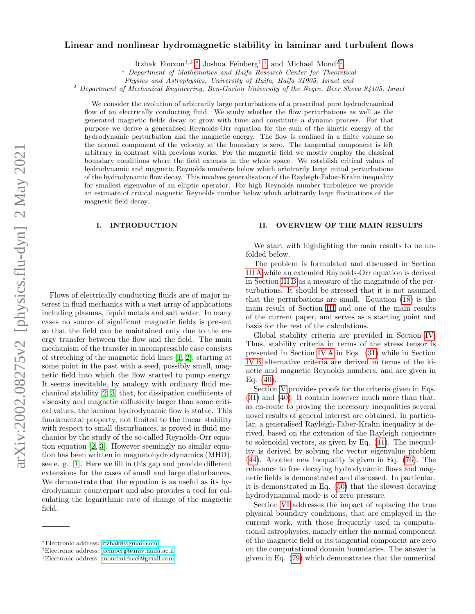# $arXiv:2002.08275v2$  [physics.flu-dyn]  $2$  May 2021 arXiv:2002.08275v2 [physics.flu-dyn] 2 May 2021

# Linear and nonlinear hydromagnetic stability in laminar and turbulent flows

Itzhak Fouxon<sup>1,2</sup>,\* Joshua Feinberg<sup>1</sup>,<sup>[†](#page-0-1)</sup> and Michael Mond<sup>2[‡](#page-0-2)</sup>

<sup>1</sup> Department of Mathematics and Haifa Research Center for Theoretical

Physics and Astrophysics, University of Haifa, Haifa 31905, Israel and

<sup>2</sup> Department of Mechanical Engineering, Ben-Gurion University of the Negev, Beer Sheva 84105, Israel

We consider the evolution of arbitrarily large perturbations of a prescribed pure hydrodynamical flow of an electrically conducting fluid. We study whether the flow perturbations as well as the generated magnetic fields decay or grow with time and constitute a dynamo process. For that purpose we derive a generalised Reynolds-Orr equation for the sum of the kinetic energy of the hydrodynamic perturbation and the magnetic energy. The flow is confined in a finite volume so the normal component of the velocity at the boundary is zero. The tangential component is left arbitrary in contrast with previous works. For the magnetic field we mostly employ the classical boundary conditions where the field extends in the whole space. We establish critical values of hydrodynamic and magnetic Reynolds numbers below which arbitrarily large initial perturbations of the hydrodynamic flow decay. This involves generalisation of the Rayleigh-Faber-Krahn inequality for smallest eigenvalue of an elliptic operator. For high Reynolds number turbulence we provide an estimate of critical magnetic Reynolds number below which arbitrarily large fluctuations of the magnetic field decay.

# I. INTRODUCTION

Flows of electrically conducting fluids are of major interest in fluid mechanics with a vast array of applications including plasmas, liquid metals and salt water. In many cases no source of significant magnetic fields is present so that the field can be maintained only due to the energy transfer between the flow and the field. The main mechanism of the transfer in incompressible case consists of stretching of the magnetic field lines [\[1,](#page-17-0) [2\]](#page-17-1), starting at some point in the past with a seed, possibly small, magnetic field into which the flow started to pump energy. It seems inevitable, by analogy with ordinary fluid mechanical stability [\[2,](#page-17-1) [3\]](#page-17-2) that, for dissipation coefficients of viscosity and magnetic diffusivity larger than some critical values, the laminar hydrodynamic flow is stable. This fundamental property, not limited to the linear stability with respect to small disturbances, is proved in fluid mechanics by the study of the so-called Reynolds-Orr equation equation [\[2,](#page-17-1) [3\]](#page-17-2). However seemingly no similar equation has been written in magnetohydrodynamics (MHD), see e. g. [\[1\]](#page-17-0). Here we fill in this gap and provide different extensions for the cases of small and large disturbances. We demonstrate that the equation is as useful as its hydrodynamic counterpart and also provides a tool for calculating the logarithmic rate of change of the magnetic field.

### II. OVERVIEW OF THE MAIN RESULTS

We start with highlighting the main results to be unfolded below.

The problem is formulated and discussed in Section [III A](#page-1-0) while an extended Reynolds-Orr equation is derived in Section [III B](#page-2-0) as a measure of the magnitude of the perturbations. It should be stressed that it is not assumed that the perturbations are small. Equation [\(18\)](#page-4-0) is the main result of Section [III](#page-1-1) and one of the main results of the current paper, and serves as a starting point and basis for the rest of the calculations.

Global stability criteria are provided in Section [IV.](#page-4-1) Thus, stability criteria in terms of the stress tensor is presented in Section [IV A](#page-5-0) in Eqs. [\(31\)](#page-6-0) while in Section [IV B](#page-6-1) alternative criteria are derived in terms of the kinetic and magnetic Reynolds numbers, and are given in Eq.  $(40)$ .

Section [V](#page-7-0) provides proofs for the criteria given in Eqs. [\(31\)](#page-6-0) and [\(40\)](#page-6-2). It contain however much more than that, as en-route to proving the necessary inequalities several novel results of general interest are obtained. In particular, a generalised Rayleigh-Faber-Krahn inequality is derived, based on the extension of the Rayleigh conjecture to solenoidal vectors, as given by Eq. [\(41\)](#page-7-1). The inequality is derived by solving the vector eigenvalue problem [\(44\)](#page-7-2). Another new inequality is given in Eq. [\(76\)](#page-10-0). The relevance to free decaying hydrodynamic flows and magnetic fields is demonstrated and discussed. In particular, it is demonstrated in Eq. [\(50\)](#page-8-0) that the slowest decaying hydrodynamical mode is of zero pressure.

Section [VI](#page-11-0) addresses the impact of replacing the true physical boundary conditions, that are employed in the current work, with those frequently used in computational astrophysics, namely either the normal component of the magnetic field or its tangential component are zero on the computational domain boundaries. The answer ia given in Eq. [\(79\)](#page-11-1) which demonstrates that the numerical

<span id="page-0-0"></span><sup>∗</sup>Electronic address: [itzhak8@gmail.com](mailto:itzhak8@gmail.com)

<span id="page-0-1"></span><sup>†</sup>Electronic address: [jfeinberg@univ.haifa.ac.il](mailto:jfeinberg@univ.haifa.ac.il)

<span id="page-0-2"></span><sup>‡</sup>Electronic address: [mondmichael@gmail.com](mailto:mondmichael@gmail.com)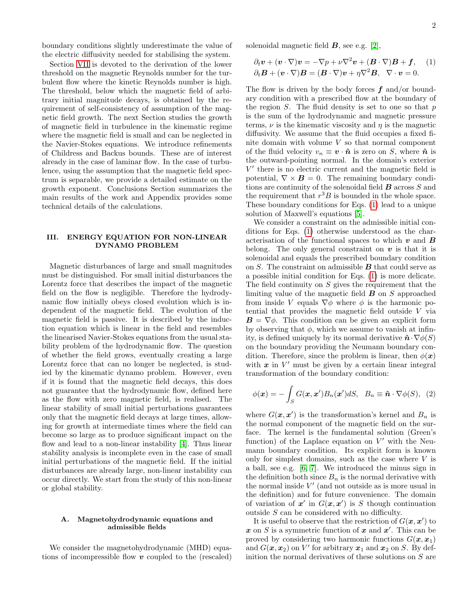boundary conditions slightly underestimate the value of the electric diffusivity needed for stabilising the system.

Section [VII](#page-12-0) is devoted to the derivation of the lower threshold on the magnetic Reynolds number for the turbulent flow where the kinetic Reynolds number is high. The threshold, below which the magnetic field of arbitrary initial magnitude decays, is obtained by the requirement of self-consistency of assumption of the magnetic field growth. The next Section studies the growth of magnetic field in turbulence in the kinematic regime where the magnetic field is small and can be neglected in the Navier-Stokes equations. We introduce refinements of Childress and Backus bounds. These are of interest already in the case of laminar flow. In the case of turbulence, using the assumption that the magnetic field spectrum is separable, we provide a detailed estimate on the growth exponent. Conclusions Section summarizes the main results of the work and Appendix provides some technical details of the calculations.

# <span id="page-1-1"></span>III. ENERGY EQUATION FOR NON-LINEAR DYNAMO PROBLEM

Magnetic disturbances of large and small magnitudes must be distinguished. For small initial disturbances the Lorentz force that describes the impact of the magnetic field on the flow is negligible. Therefore the hydrodynamic flow initially obeys closed evolution which is independent of the magnetic field. The evolution of the magnetic field is passive. It is described by the induction equation which is linear in the field and resembles the linearised Navier-Stokes equations from the usual stability problem of the hydrodynamic flow. The question of whether the field grows, eventually creating a large Lorentz force that can no longer be neglected, is studied by the kinematic dynamo problem. However, even if it is found that the magnetic field decays, this does not guarantee that the hydrodynamic flow, defined here as the flow with zero magnetic field, is realised. The linear stability of small initial perturbations guarantees only that the magnetic field decays at large times, allowing for growth at intermediate times where the field can become so large as to produce significant impact on the flow and lead to a non-linear instability [\[4\]](#page-17-3). Thus linear stability analysis is incomplete even in the case of small initial perturbations of the magnetic field. If the initial disturbances are already large, non-linear instability can occur directly. We start from the study of this non-linear or global stability.

## <span id="page-1-0"></span>A. Magnetohydrodynamic equations and admissible fields

We consider the magnetohydrodynamic (MHD) equations of incompressible flow  $v$  coupled to the (rescaled) solenoidal magnetic field  $\mathbf{B}$ , see e.g. [\[2\]](#page-17-1),

<span id="page-1-2"></span>
$$
\partial_t \mathbf{v} + (\mathbf{v} \cdot \nabla) \mathbf{v} = -\nabla p + \nu \nabla^2 \mathbf{v} + (\mathbf{B} \cdot \nabla) \mathbf{B} + \mathbf{f}, \quad (1)
$$
  

$$
\partial_t \mathbf{B} + (\mathbf{v} \cdot \nabla) \mathbf{B} = (\mathbf{B} \cdot \nabla) \mathbf{v} + \eta \nabla^2 \mathbf{B}, \quad \nabla \cdot \mathbf{v} = 0.
$$

The flow is driven by the body forces  $f$  and/or boundary condition with a prescribed flow at the boundary of the region  $S$ . The fluid density is set to one so that  $p$ is the sum of the hydrodynamic and magnetic pressure terms,  $\nu$  is the kinematic viscosity and  $\eta$  is the magnetic diffusivity. We assume that the fluid occupies a fixed finite domain with volume  $V$  so that normal component of the fluid velocity  $v_n \equiv \boldsymbol{v} \cdot \boldsymbol{\hat{n}}$  is zero on S, where  $\boldsymbol{\hat{n}}$  is the outward-pointing normal. In the domain's exterior  $V'$  there is no electric current and the magnetic field is potential,  $\nabla \times \mathbf{B} = 0$ . The remaining boundary conditions are continuity of the solenoidal field  $\boldsymbol{B}$  across  $S$  and the requirement that  $r^3B$  is bounded in the whole space. These boundary conditions for Eqs. [\(1\)](#page-1-2) lead to a unique solution of Maxwell's equations [\[5\]](#page-17-4).

We consider a constraint on the admissible initial conditions for Eqs. [\(1\)](#page-1-2) otherwise understood as the characterisation of the functional spaces to which  $v$  and  $B$ belong. The only general constraint on  $v$  is that it is solenoidal and equals the prescribed boundary condition on  $S$ . The constraint on admissible  $B$  that could serve as a possible initial condition for Eqs. [\(1\)](#page-1-2) is more delicate. The field continuity on S gives the requirement that the limiting value of the magnetic field  $\boldsymbol{B}$  on  $S$  approached from inside V equals  $\nabla \phi$  where  $\phi$  is the harmonic potential that provides the magnetic field outside V via  $\mathbf{B} = \nabla \phi$ . This condition can be given an explicit form by observing that  $\phi$ , which we assume to vanish at infinity, is defined uniquely by its normal derivative  $\hat{\boldsymbol{n}} \cdot \nabla \phi(S)$ on the boundary providing the Neumann boundary condition. Therefore, since the problem is linear, then  $\phi(\mathbf{x})$ with  $x$  in  $V'$  must be given by a certain linear integral transformation of the boundary condition:

<span id="page-1-3"></span>
$$
\phi(\boldsymbol{x}) = -\int_{S} G(\boldsymbol{x}, \boldsymbol{x}')B_n(\boldsymbol{x}')dS, \quad B_n \equiv \hat{\boldsymbol{n}} \cdot \nabla \phi(S), \tag{2}
$$

where  $G(\mathbf{x}, \mathbf{x}')$  is the transformation's kernel and  $B_n$  is the normal component of the magnetic field on the surface. The kernel is the fundamental solution (Green's function) of the Laplace equation on  $V'$  with the Neumann boundary condition. Its explicit form is known only for simplest domains, such as the case where  $V$  is a ball, see e.g. [\[6,](#page-17-5) [7\]](#page-17-6). We introduced the minus sign in the definition both since  $B_n$  is the normal derivative with the normal inside  $V'$  (and not outside as is more usual in the definition) and for future convenience. The domain of variation of  $x'$  in  $G(x, x')$  is S though continuation outside S can be considered with no difficulty.

It is useful to observe that the restriction of  $G(\mathbf{x}, \mathbf{x}')$  to x on S is a symmetric function of x and  $x'$ . This can be proved by considering two harmonic functions  $G(\mathbf{x}, \mathbf{x}_1)$ and  $G(\mathbf{x}, \mathbf{x}_2)$  on  $V'$  for arbitrary  $\mathbf{x}_1$  and  $\mathbf{x}_2$  on S. By definition the normal derivatives of these solutions on S are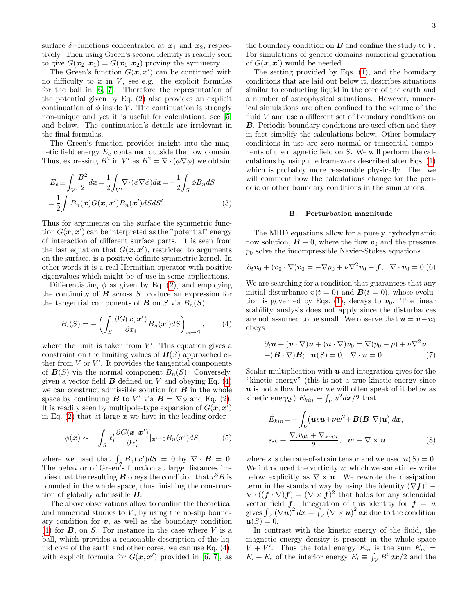surface  $\delta$ -functions concentrated at  $x_1$  and  $x_2$ , respectively. Then using Green's second identity is readily seen to give  $G(\boldsymbol{x}_2, \boldsymbol{x}_1) = G(\boldsymbol{x}_1, \boldsymbol{x}_2)$  proving the symmetry.

The Green's function  $G(\mathbf{x}, \mathbf{x}')$  can be continued with no difficulty to  $x$  in  $V$ , see e.g. the explicit formulas for the ball in [\[6,](#page-17-5) [7\]](#page-17-6). Therefore the representation of the potential given by Eq. [\(2\)](#page-1-3) also provides an explicit continuation of  $\phi$  inside V. The continuation is strongly non-unique and yet it is useful for calculations, see [\[5\]](#page-17-4) and below. The continuation's details are irrelevant in the final formulas.

The Green's function provides insight into the magnetic field energy  $E_e$  contained outside the flow domain. Thus, expressing  $B^2$  in V' as  $B^2 = \nabla \cdot (\phi \nabla \phi)$  we obtain:

<span id="page-2-2"></span>
$$
E_e \equiv \int_{V'} \frac{B^2}{2} dx = \frac{1}{2} \int_{V'} \nabla \cdot (\phi \nabla \phi) dx = -\frac{1}{2} \int_S \phi B_n dS
$$
  
= 
$$
\frac{1}{2} \int B_n(\mathbf{x}) G(\mathbf{x}, \mathbf{x'}) B_n(\mathbf{x'}) dS dS'.
$$
 (3)

Thus for arguments on the surface the symmetric function  $G(\mathbf{x}, \mathbf{x}')$  can be interpreted as the "potential" energy of interaction of different surface parts. It is seen from the last equation that  $G(\mathbf{x}, \mathbf{x}')$ , restricted to arguments on the surface, is a positive definite symmetric kernel. In other words it is a real Hermitian operator with positive eigenvalues which might be of use in some applications.

Differentiating  $\phi$  as given by Eq. [\(2\)](#page-1-3), and employing the continuity of  $\bf{B}$  across  $\bf{S}$  produce an expression for the tangential components of **B** on S via  $B_n(S)$ 

<span id="page-2-1"></span>
$$
B_i(S) = -\left(\int_S \frac{\partial G(\boldsymbol{x}, \boldsymbol{x}')}{\partial x_i} B_n(\boldsymbol{x}') dS\right)_{\boldsymbol{x} \to S}, \qquad (4)
$$

where the limit is taken from  $V'$ . This equation gives a constraint on the limiting values of  $B(S)$  approached either from  $V$  or  $V'$ . It provides the tangential components of  $\mathbf{B}(S)$  via the normal component  $B_n(S)$ . Conversely, given a vector field  $\bf{B}$  defined on  $V$  and obeying Eq. [\(4\)](#page-2-1) we can construct admissible solution for  $B$  in the whole space by continuing **B** to V' via  $\mathbf{B} = \nabla \phi$  and Eq. [\(2\)](#page-1-3). It is readily seen by multipole-type expansion of  $G(\mathbf{x}, \mathbf{x}')$ in Eq.  $(2)$  that at large  $x$  we have in the leading order

$$
\phi(\boldsymbol{x}) \sim -\int_{S} x_i' \frac{\partial G(\boldsymbol{x}, \boldsymbol{x}')}{\partial x_i'}|_{\boldsymbol{x}'=0} B_n(\boldsymbol{x}') dS,\tag{5}
$$

where we used that  $\int_{S} B_n(x') dS = 0$  by  $\nabla \cdot \mathbf{B} = 0$ . The behavior of Green's function at large distances implies that the resulting **B** obeys the condition that  $r^3B$  is bounded in the whole space, thus finishing the construction of globally admissible B.

The above observations allow to confine the theoretical and numerical studies to  $V$ , by using the no-slip boundary condition for  $v$ , as well as the boundary condition [\(4\)](#page-2-1) for  $\bf{B}$ , on  $\bf{S}$ . For instance in the case where  $\bf{V}$  is a ball, which provides a reasonable description of the liquid core of the earth and other cores, we can use Eq. [\(4\)](#page-2-1), with explicit formula for  $G(\mathbf{x}, \mathbf{x}')$  provided in [\[6,](#page-17-5) [7\]](#page-17-6), as

the boundary condition on  $\bf{B}$  and confine the study to  $\bf{V}$ . For simulations of generic domains numerical generation of  $G(\mathbf{x}, \mathbf{x}')$  would be needed.

The setting provided by Eqs. [\(1\)](#page-1-2), and the boundary conditions that are laid out below it, describes situations similar to conducting liquid in the core of the earth and a number of astrophysical situations. However, numerical simulations are often confined to the volume of the fluid  $V$  and use a different set of boundary conditions on B. Periodic boundary conditions are used often and they in fact simplify the calculations below. Other boundary conditions in use are zero normal or tangential components of the magnetic field on S. We will perform the calculations by using the framework described after Eqs. [\(1\)](#page-1-2) which is probably more reasonable physically. Then we will comment how the calculations change for the periodic or other boundary conditions in the simulations.

### <span id="page-2-0"></span>B. Perturbation magnitude

The MHD equations allow for a purely hydrodynamic flow solution,  $\mathbf{B} \equiv 0$ , where the flow  $\mathbf{v}_0$  and the pressure  $p_0$  solve the incompressible Navier-Stokes equations

<span id="page-2-4"></span>
$$
\partial_t \boldsymbol{v}_0 + (\boldsymbol{v}_0 \cdot \nabla) \boldsymbol{v}_0 = -\nabla p_0 + \nu \nabla^2 \boldsymbol{v}_0 + \boldsymbol{f}, \ \ \nabla \cdot \boldsymbol{v}_0 = 0.6
$$

We are searching for a condition that guarantees that any initial disturbance  $v(t = 0)$  and  $B(t = 0)$ , whose evolu-tion is governed by Eqs. [\(1\)](#page-1-2), decays to  $v_0$ . The linear stability analysis does not apply since the disturbances are not assumed to be small. We observe that  $u = v - v_0$ obeys

$$
\partial_t \mathbf{u} + (\mathbf{v} \cdot \nabla) \mathbf{u} + (\mathbf{u} \cdot \nabla) \mathbf{v}_0 = \nabla (p_0 - p) + \nu \nabla^2 \mathbf{u}
$$
  
+  $(\mathbf{B} \cdot \nabla) \mathbf{B}; \quad \mathbf{u}(S) = 0, \quad \nabla \cdot \mathbf{u} = 0.$  (7)

Scalar multiplication with  $u$  and integration gives for the "kinetic energy" (this is not a true kinetic energy since  $u$  is not a flow however we will often speak of it below as kinetic energy)  $E_{kin} \equiv \int_V u^2 dx/2$  that

<span id="page-2-3"></span>
$$
\dot{E}_{kin} = -\int_{V} (\boldsymbol{u}s\boldsymbol{u} + \nu w^2 + \boldsymbol{B}(\boldsymbol{B} \cdot \nabla) \boldsymbol{u}) \, d\boldsymbol{x},
$$
\n
$$
s_{ik} \equiv \frac{\nabla_i v_{0k} + \nabla_k v_{0i}}{2}, \quad \boldsymbol{w} \equiv \nabla \times \boldsymbol{u}, \tag{8}
$$

where s is the rate-of-strain tensor and we used  $u(S) = 0$ . We introduced the vorticity  $w$  which we sometimes write below explicitly as  $\nabla \times \mathbf{u}$ . We rewrote the dissipation term in the standard way by using the identity  $(\nabla f)^2$  –  $\nabla \cdot ((\boldsymbol{f} \cdot \nabla) \boldsymbol{f}) = (\nabla \times \boldsymbol{f})^2$  that holds for any solenoidal vector field  $f$ . Integration of this identity for  $f = u$ gives  $\int_V (\nabla \tilde{\bm{u}})^2 d\bm{x} = \int_V (\nabla \times \bm{u})^2 d\bm{x}$  due to the condition  $u(S) = 0.$ 

In contrast with the kinetic energy of the fluid, the magnetic energy density is present in the whole space  $V + V'$ . Thus the total energy  $E_m$  is the sum  $E_m =$  $E_i + E_e$  of the interior energy  $E_i \equiv \int_V B^2 dx/2$  and the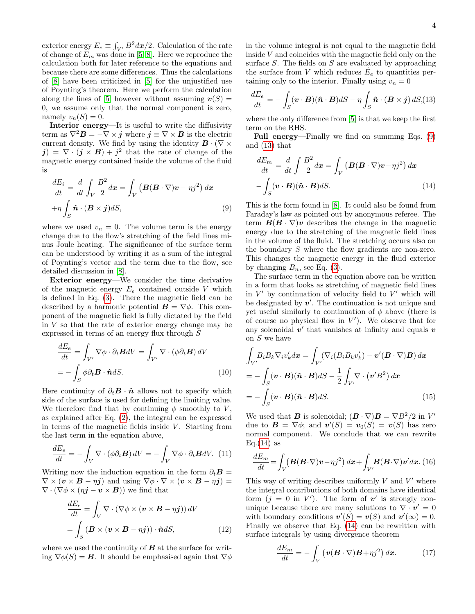exterior energy  $E_e \equiv \int_{V'} B^2 dx/2$ . Calculation of the rate of change of  $E_m$  was done in [\[5,](#page-17-4) [8\]](#page-17-7). Here we reproduce the calculation both for later reference to the equations and because there are some differences. Thus the calculations of [\[8\]](#page-17-7) have been criticized in [\[5\]](#page-17-4) for the unjustified use of Poynting's theorem. Here we perform the calculation along the lines of [\[5\]](#page-17-4) however without assuming  $v(S)$  = 0, we assume only that the normal component is zero, namely  $v_n(S) = 0$ .

Interior energy—It is useful to write the diffusivity term as  $\nabla^2 \mathbf{B} = -\nabla \times \mathbf{j}$  where  $\mathbf{j} \equiv \nabla \times \mathbf{B}$  is the electric current density. We find by using the identity  $\mathbf{B} \cdot (\nabla \times$  $j = \nabla \cdot (j \times B) + j^2$  that the rate of change of the magnetic energy contained inside the volume of the fluid is

<span id="page-3-0"></span>
$$
\frac{dE_i}{dt} = \frac{d}{dt} \int_V \frac{B^2}{2} dx = \int_V (\boldsymbol{B}(\boldsymbol{B} \cdot \nabla) \boldsymbol{v} - \eta j^2) dx
$$

$$
+ \eta \int_S \hat{\boldsymbol{n}} \cdot (\boldsymbol{B} \times \boldsymbol{j}) dS,
$$
(9)

where we used  $v_n = 0$ . The volume term is the energy change due to the flow's stretching of the field lines minus Joule heating. The significance of the surface term can be understood by writing it as a sum of the integral of Poynting's vector and the term due to the flow, see detailed discussion in [\[8\]](#page-17-7).

Exterior energy—We consider the time derivative of the magnetic energy  $E_e$  contained outside V which is defined in Eq. [\(3\)](#page-2-2). There the magnetic field can be described by a harmonic potential  $\mathbf{B} = \nabla \phi$ . This component of the magnetic field is fully dictated by the field in  $V$  so that the rate of exterior energy change may be expressed in terms of an energy flux through S

$$
\frac{dE_e}{dt} = \int_{V'} \nabla \phi \cdot \partial_t \mathbf{B} dV = \int_{V'} \nabla \cdot (\phi \partial_t \mathbf{B}) dV
$$

$$
= -\int_S \phi \partial_t \mathbf{B} \cdot \hat{\mathbf{n}} dS. \tag{10}
$$

Here continuity of  $\partial_t \mathbf{B} \cdot \hat{\mathbf{n}}$  allows not to specify which side of the surface is used for defining the limiting value. We therefore find that by continuing  $\phi$  smoothly to V, as explained after Eq. [\(2\)](#page-1-3), the integral can be expressed in terms of the magnetic fields inside  $V$ . Starting from the last term in the equation above,

$$
\frac{dE_e}{dt} = -\int_V \nabla \cdot (\phi \partial_t \mathbf{B}) \, dV = -\int_V \nabla \phi \cdot \partial_t \mathbf{B} dV. \tag{11}
$$

Writing now the induction equation in the form  $\partial_t \mathbf{B} =$  $\nabla \times (\mathbf{v} \times \mathbf{B} - \eta \mathbf{j})$  and using  $\nabla \phi \cdot \nabla \times (\mathbf{v} \times \mathbf{B} - \eta \mathbf{j}) =$  $\nabla \cdot (\nabla \phi \times (\eta \mathbf{j} - \mathbf{v} \times \mathbf{B}))$  we find that

$$
\frac{dE_e}{dt} = \int_V \nabla \cdot (\nabla \phi \times (\mathbf{v} \times \mathbf{B} - \eta \mathbf{j})) dV
$$

$$
= \int_S (\mathbf{B} \times (\mathbf{v} \times \mathbf{B} - \eta \mathbf{j})) \cdot \hat{\mathbf{n}} dS,
$$
(12)

where we used the continuity of  $\boldsymbol{B}$  at the surface for writing  $\nabla \phi(S) = \mathbf{B}$ . It should be emphasised again that  $\nabla \phi$  in the volume integral is not equal to the magnetic field inside V and coincides with the magnetic field only on the surface  $S$ . The fields on  $S$  are evaluated by approaching the surface from V which reduces  $\dot{E}_e$  to quantities pertaining only to the interior. Finally using  $v_n = 0$ 

<span id="page-3-1"></span>
$$
\frac{dE_e}{dt} = -\int_S (\mathbf{v} \cdot \mathbf{B})(\hat{\mathbf{n}} \cdot \mathbf{B})dS - \eta \int_S \hat{\mathbf{n}} \cdot (\mathbf{B} \times \mathbf{j}) dS,(13)
$$

where the only difference from [\[5\]](#page-17-4) is that we keep the first term on the RHS.

Full energy—Finally we find on summing Eqs. [\(9\)](#page-3-0) and [\(13\)](#page-3-1) that

<span id="page-3-2"></span>
$$
\frac{dE_m}{dt} = \frac{d}{dt} \int \frac{B^2}{2} dx = \int_V \left( \mathbf{B} (\mathbf{B} \cdot \nabla) \mathbf{v} - \eta j^2 \right) dx
$$

$$
- \int_S (\mathbf{v} \cdot \mathbf{B}) (\hat{\mathbf{n}} \cdot \mathbf{B}) dS. \tag{14}
$$

This is the form found in [\[8\]](#page-17-7). It could also be found from Faraday's law as pointed out by anonymous referee. The term  $B(B \cdot \nabla)v$  describes the change in the magnetic energy due to the stretching of the magnetic field lines in the volume of the fluid. The stretching occurs also on the boundary S where the flow gradients are non-zero. This changes the magnetic energy in the fluid exterior by changing  $B_n$ , see Eq. [\(3\)](#page-2-2).

The surface term in the equation above can be written in a form that looks as stretching of magnetic field lines in  $V'$  by continuation of velocity field to  $V'$  which will be designated by  $v'$ . The continuation is not unique and yet useful similarly to continuation of  $\phi$  above (there is of course no physical flow in  $V'$ ). We observe that for any solenoidal  $v'$  that vanishes at infinity and equals  $v$ on S we have

<span id="page-3-3"></span>
$$
\int_{V'} B_i B_k \nabla_i v'_k dx = \int_{V'} (\nabla_i (B_i B_k v'_k) - \mathbf{v}' (\mathbf{B} \cdot \nabla) \mathbf{B}) dx
$$
  
= 
$$
- \int_S (\mathbf{v} \cdot \mathbf{B}) (\hat{\mathbf{n}} \cdot \mathbf{B}) dS - \frac{1}{2} \int_{V'} \nabla \cdot (\mathbf{v}' B^2) dx
$$
  
= 
$$
- \int_S (\mathbf{v} \cdot \mathbf{B}) (\hat{\mathbf{n}} \cdot \mathbf{B}) dS.
$$
 (15)

We used that **B** is solenoidal;  $(\mathbf{B} \cdot \nabla)\mathbf{B} = \nabla B^2/2$  in V' due to  $\mathbf{B} = \nabla \phi$ ; and  $\mathbf{v}'(S) = \mathbf{v}_0(S) = \mathbf{v}(S)$  has zero normal component. We conclude that we can rewrite  $Eq.(14)$  $Eq.(14)$  as

<span id="page-3-5"></span>
$$
\frac{dE_m}{dt} = \int_V (\boldsymbol{B}(\boldsymbol{B} \cdot \nabla) \boldsymbol{v} - \eta j^2) \, dx + \int_{V'} \boldsymbol{B}(\boldsymbol{B} \cdot \nabla) \boldsymbol{v}' dx. \tag{16}
$$

This way of writing describes uniformly  $V$  and  $V'$  where the integral contributions of both domains have identical form  $(j = 0$  in  $V'$ ). The form of  $v'$  is strongly nonunique because there are many solutions to  $\nabla \cdot \mathbf{v}' = 0$ with boundary conditions  $\mathbf{v}'(S) = \mathbf{v}(S)$  and  $\mathbf{v}'(\infty) = 0$ . Finally we observe that Eq. [\(14\)](#page-3-2) can be rewritten with surface integrals by using divergence theorem

<span id="page-3-4"></span>
$$
\frac{dE_m}{dt} = -\int_V \left( \mathbf{v}(\mathbf{B} \cdot \nabla)\mathbf{B} + \eta j^2 \right) dx. \tag{17}
$$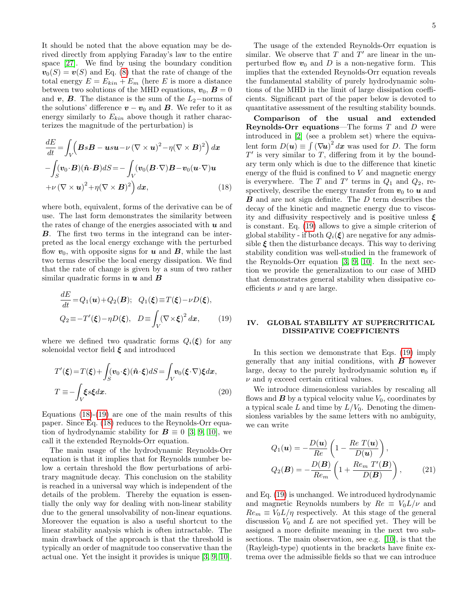It should be noted that the above equation may be derived directly from applying Faraday's law to the entire space [\[27\]](#page-18-0). We find by using the boundary condition  $v_0(S) = v(S)$  and Eq. [\(8\)](#page-2-3) that the rate of change of the total energy  $E = E_{kin} + E_m$  (here E is more a distance between two solutions of the MHD equations,  $v_0$ ,  $\mathbf{B} = 0$ and v, B. The distance is the sum of the  $L_2$ −norms of the solutions' difference  $v - v_0$  and B. We refer to it as energy similarly to  $E_{kin}$  above though it rather characterizes the magnitude of the perturbation) is

<span id="page-4-0"></span>
$$
\frac{dE}{dt} = \int_{V} \left( \boldsymbol{B} s \boldsymbol{B} - \boldsymbol{u} s \boldsymbol{u} - \nu \left( \nabla \times \boldsymbol{u} \right)^{2} - \eta (\nabla \times \boldsymbol{B})^{2} \right) d\boldsymbol{x}
$$
\n
$$
- \int_{S} (\boldsymbol{v}_{0} \cdot \boldsymbol{B}) (\hat{\boldsymbol{n}} \cdot \boldsymbol{B}) dS = - \int_{V} (\boldsymbol{v}_{0} (\boldsymbol{B} \cdot \nabla) \boldsymbol{B} - \boldsymbol{v}_{0} (\boldsymbol{u} \cdot \nabla) \boldsymbol{u}
$$
\n
$$
+ \nu \left( \nabla \times \boldsymbol{u} \right)^{2} + \eta (\nabla \times \boldsymbol{B})^{2} \right) d\boldsymbol{x}, \qquad (18)
$$

where both, equivalent, forms of the derivative can be of use. The last form demonstrates the similarity between the rates of change of the energies associated with  $u$  and B. The first two terms in the integrand can be interpreted as the local energy exchange with the perturbed flow  $v_0$ , with opposite signs for  $u$  and  $B$ , while the last two terms describe the local energy dissipation. We find that the rate of change is given by a sum of two rather similar quadratic forms in  $u$  and  $B$ 

<span id="page-4-2"></span>
$$
\frac{dE}{dt} = Q_1(\mathbf{u}) + Q_2(\mathbf{B}); \quad Q_1(\xi) \equiv T(\xi) - \nu D(\xi),
$$
  
\n
$$
Q_2 \equiv -T'(\xi) - \eta D(\xi), \quad D \equiv \int_V (\nabla \times \xi)^2 dx, \quad (19)
$$

where we defined two quadratic forms  $Q_i(\xi)$  for any solenoidal vector field  $\xi$  and introduced

$$
T'(\xi) = T(\xi) + \int_{S} (\mathbf{v}_0 \cdot \xi)(\hat{\mathbf{n}} \cdot \xi) dS = \int_{V} \mathbf{v}_0(\xi \cdot \nabla) \xi d\mathbf{x},
$$
  

$$
T \equiv -\int_{V} \xi s \xi d\mathbf{x}.
$$
 (20)

Equations  $(18)-(19)$  $(18)-(19)$  $(18)-(19)$  are one of the main results of this paper. Since Eq. [\(18\)](#page-4-0) reduces to the Reynolds-Orr equation of hydrodynamic stability for  $\mathbf{B} \equiv 0$  [\[3,](#page-17-2) [9,](#page-17-8) [10\]](#page-18-1), we call it the extended Reynolds-Orr equation.

The main usage of the hydrodynamic Reynolds-Orr equation is that it implies that for Reynolds number below a certain threshold the flow perturbations of arbitrary magnitude decay. This conclusion on the stability is reached in a universal way which is independent of the details of the problem. Thereby the equation is essentially the only way for dealing with non-linear stability due to the general unsolvability of non-linear equations. Moreover the equation is also a useful shortcut to the linear stability analysis which is often intractable. The main drawback of the approach is that the threshold is typically an order of magnitude too conservative than the actual one. Yet the insight it provides is unique [\[3,](#page-17-2) [9,](#page-17-8) [10\]](#page-18-1).

The usage of the extended Reynolds-Orr equation is similar. We observe that  $T$  and  $T'$  are linear in the unperturbed flow  $v_0$  and D is a non-negative form. This implies that the extended Reynolds-Orr equation reveals the fundamental stability of purely hydrodynamic solutions of the MHD in the limit of large dissipation coefficients. Significant part of the paper below is devoted to quantitative assessment of the resulting stability bounds.

Comparison of the usual and extended **Reynolds-Orr equations**—The forms  $T$  and  $D$  were introduced in [\[2\]](#page-17-1) (see a problem set) where the equivalent form  $D(u) \equiv \int (\nabla u)^2 dx$  was used for D. The form  $T'$  is very similar to  $T$ , differing from it by the boundary term only which is due to the difference that kinetic energy of the fluid is confined to  $V$  and magnetic energy is everywhere. The T and  $T'$  terms in  $Q_1$  and  $Q_2$ , respectively, describe the energy transfer from  $v_0$  to  $u$  and  $\boldsymbol{B}$  and are not sign definite. The  $D$  term describes the decay of the kinetic and magnetic energy due to viscosity and diffusivity respectively and is positive unless  $\xi$ is constant. Eq. [\(19\)](#page-4-2) allows to give a simple criterion of global stability - if both  $Q_i(\boldsymbol{\xi})$  are negative for any admissible  $\xi$  then the disturbance decays. This way to deriving stability condition was well-studied in the framework of the Reynolds-Orr equation [\[3,](#page-17-2) [9,](#page-17-8) [10\]](#page-18-1). In the next section we provide the generalization to our case of MHD that demonstrates general stability when dissipative coefficients  $\nu$  and  $\eta$  are large.

# <span id="page-4-1"></span>IV. GLOBAL STABILITY AT SUPERCRITICAL DISSIPATIVE COEFFICIENTS

In this section we demonstrate that Eqs. [\(19\)](#page-4-2) imply generally that any initial conditions, with  $\boldsymbol{B}$  however large, decay to the purely hydrodynamic solution  $v_0$  if  $\nu$  and  $\eta$  exceed certain critical values.

We introduce dimensionless variables by rescaling all flows and  $\bf{B}$  by a typical velocity value  $V_0$ , coordinates by a typical scale L and time by  $L/V_0$ . Denoting the dimensionless variables by the same letters with no ambiguity, we can write

$$
Q_1(\mathbf{u}) = -\frac{D(\mathbf{u})}{Re} \left( 1 - \frac{Re T(\mathbf{u})}{D(\mathbf{u})} \right),
$$
  
\n
$$
Q_2(\mathbf{B}) = -\frac{D(\mathbf{B})}{Re_m} \left( 1 + \frac{Re_m T'(\mathbf{B})}{D(\mathbf{B})} \right),
$$
\n(21)

and Eq. [\(19\)](#page-4-2) is unchanged. We introduced hydrodynamic and magnetic Reynolds numbers by  $Re \equiv V_0 L/\nu$  and  $Re_m \equiv V_0 L / \eta$  respectively. At this stage of the general discussion  $V_0$  and L are not specified yet. They will be assigned a more definite meaning in the next two subsections. The main observation, see e.g. [\[10\]](#page-18-1), is that the (Rayleigh-type) quotients in the brackets have finite extrema over the admissible fields so that we can introduce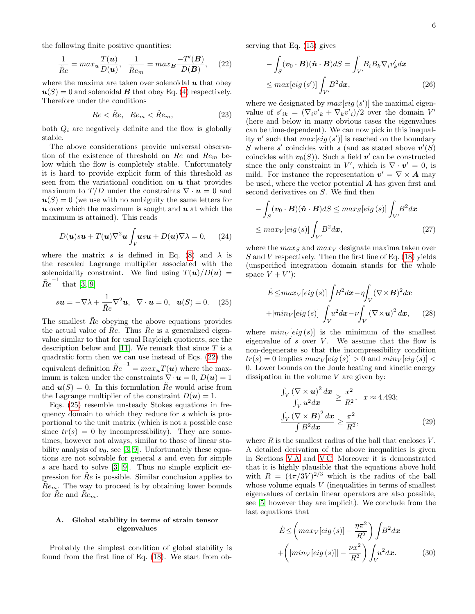the following finite positive quantities:

<span id="page-5-1"></span>
$$
\frac{1}{\tilde{R}e} = max_{\mathbf{u}} \frac{T(\mathbf{u})}{D(\mathbf{u})}, \quad \frac{1}{\tilde{R}e_m} = max_{\mathbf{B}} \frac{-T'(\mathbf{B})}{D(\mathbf{B})}, \quad (22)
$$

where the maxima are taken over solenoidal  $\boldsymbol{u}$  that obey  $u(S) = 0$  and solenoidal **B** that obey Eq. [\(4\)](#page-2-1) respectively. Therefore under the conditions

$$
Re < \tilde{R}e, \quad Re_m < \tilde{R}e_m,\tag{23}
$$

both  $Q_i$  are negatively definite and the flow is globally stable.

The above considerations provide universal observation of the existence of threshold on Re and  $Re<sub>m</sub>$  below which the flow is completely stable. Unfortunately it is hard to provide explicit form of this threshold as seen from the variational condition on  $u$  that provides maximum to  $T/D$  under the constraints  $\nabla \cdot \mathbf{u} = 0$  and  $u(S) = 0$  (we use with no ambiguity the same letters for  $u$  over which the maximum is sought and  $u$  at which the maximum is attained). This reads

$$
D(\boldsymbol{u})s\boldsymbol{u} + T(\boldsymbol{u})\nabla^2\boldsymbol{u}\int_V \boldsymbol{u}s\boldsymbol{u} + D(\boldsymbol{u})\nabla\lambda = 0, \qquad (24)
$$

where the matrix s is defined in Eq. [\(8\)](#page-2-3) and  $\lambda$  is the rescaled Lagrange multiplier associated with the solenoidality constraint. We find using  $T(u)/D(u) =$  $\tilde{Re}^{-1}$  that [\[3,](#page-17-2) [9\]](#page-17-8)

<span id="page-5-2"></span>
$$
s\mathbf{u} = -\nabla\lambda + \frac{1}{\tilde{R}e}\nabla^2\mathbf{u}, \ \ \nabla \cdot \mathbf{u} = 0, \ \ \mathbf{u}(S) = 0. \tag{25}
$$

The smallest  $\tilde{R}e$  obeying the above equations provides the actual value of  $\tilde{R}e$ . Thus  $\tilde{R}e$  is a generalized eigenvalue similar to that for usual Rayleigh quotients, see the description below and [\[11\]](#page-18-2). We remark that since  $T$  is a quadratic form then we can use instead of Eqs. [\(22\)](#page-5-1) the equivalent definition  $\tilde{R}e^{-1} = max_{\mathbf{u}} T(\mathbf{u})$  where the maximum is taken under the constraints  $\nabla \cdot \mathbf{u} = 0$ ,  $D(\mathbf{u}) = 1$ and  $u(S) = 0$ . In this formulation  $\tilde{R}e$  would arise from the Lagrange multiplier of the constraint  $D(\mathbf{u}) = 1$ .

Eqs. [\(25\)](#page-5-2) resemble unsteady Stokes equations in frequency domain to which they reduce for s which is proportional to the unit matrix (which is not a possible case since  $tr(s) = 0$  by incompressibility). They are sometimes, however not always, similar to those of linear stability analysis of  $v_0$ , see [\[3,](#page-17-2) [9\]](#page-17-8). Unfortunately these equations are not solvable for general s and even for simple s are hard to solve [\[3,](#page-17-2) [9\]](#page-17-8). Thus no simple explicit expression for  $\tilde{R}e$  is possible. Similar conclusion applies to  $Re_m$ . The way to proceed is by obtaining lower bounds for  $\tilde{R}e$  and  $\tilde{R}e_m$ .

# <span id="page-5-0"></span>A. Global stability in terms of strain tensor eigenvalues

Probably the simplest condition of global stability is found from the first line of Eq. [\(18\)](#page-4-0). We start from observing that Eq. [\(15\)](#page-3-3) gives

$$
-\int_{S} (\mathbf{v}_{0} \cdot \mathbf{B})(\hat{\mathbf{n}} \cdot \mathbf{B})dS = \int_{V'} B_{i}B_{k} \nabla_{i}v_{k}' dx
$$
  

$$
\leq max[ eig(s')] \int_{V'} B^{2} dx,
$$
 (26)

where we designated by  $max[ eig (s')]$  the maximal eigenvalue of  $s'_{ik} = (\nabla_i v'_{k} + \nabla_k v'_{i})/2$  over the domain V' (here and below in many obvious cases the eigenvalues can be time-dependent). We can now pick in this inequality  $v'$  such that  $max[ eig (s')]$  is reached on the boundary S where s' coincides with s (and as stated above  $v'(S)$ coincides with  $\mathbf{v}_0(S)$ . Such a field  $\mathbf{v}'$  can be constructed since the only constraint in V', which is  $\nabla \cdot \mathbf{v}' = 0$ , is mild. For instance the representation  $v' = \nabla \times \mathbf{A}$  may be used, where the vector potential  $\boldsymbol{A}$  has given first and second derivatives on S. We find then

$$
-\int_{S} (\mathbf{v}_{0} \cdot \mathbf{B})(\hat{\mathbf{n}} \cdot \mathbf{B})dS \leq max_{S} [eig(s)] \int_{V'} B^{2} dx
$$
  

$$
\leq max_{V} [eig(s)] \int_{V'} B^{2} dx, \qquad (27)
$$

where the  $max_S$  and  $max_V$  designate maxima taken over S and V respectively. Then the first line of Eq. [\(18\)](#page-4-0) yields (unspecified integration domain stands for the whole space  $V + V'$ :

$$
\dot{E} \leq max_V[eig(s)] \int B^2 dx - \eta \int_V (\nabla \times \mathbf{B})^2 dx
$$

$$
+ |min_V[eig(s)]| \int_V u^2 dx - \nu \int_V (\nabla \times \mathbf{u})^2 dx, \qquad (28)
$$

where  $min_V[eig(s)]$  is the minimum of the smallest eigenvalue of  $s$  over  $V$ . We assume that the flow is non-degenerate so that the incompressibility condition  $tr(s) = 0$  implies  $max_V[ei g(s)] > 0$  and  $min_V[ei g(s)] <$ 0. Lower bounds on the Joule heating and kinetic energy dissipation in the volume  $V$  are given by:

<span id="page-5-3"></span>
$$
\frac{\int_{V} (\nabla \times \mathbf{u})^2 d\mathbf{x}}{\int_{V} u^2 d\mathbf{x}} \ge \frac{x^2}{R^2}, \quad x \approx 4.493; \n\frac{\int_{V} (\nabla \times \mathbf{B})^2 d\mathbf{x}}{\int B^2 d\mathbf{x}} \ge \frac{\pi^2}{R^2},
$$
\n(29)

where  $R$  is the smallest radius of the ball that encloses  $V$ . A detailed derivation of the above inequalities is given in Sections [V A](#page-7-3) and [V C.](#page-8-1) Moreover it is demonstrated that it is highly plausible that the equations above hold with  $R = (4\pi/3V)^{2/3}$  which is the radius of the ball whose volume equals  $V$  (inequalities in terms of smallest eigenvalues of certain linear operators are also possible, see [\[5\]](#page-17-4) however they are implicit). We conclude from the last equations that

<span id="page-5-4"></span>
$$
\dot{E} \le \left( \max_{V} \left[ eig \left( s \right) \right] - \frac{\eta \pi^2}{R^2} \right) \int B^2 d\mathbf{x} \n+ \left( \left| \min_{V} \left[ eig \left( s \right) \right] \right| - \frac{\nu x^2}{R^2} \right) \int_{V} u^2 d\mathbf{x}.
$$
\n(30)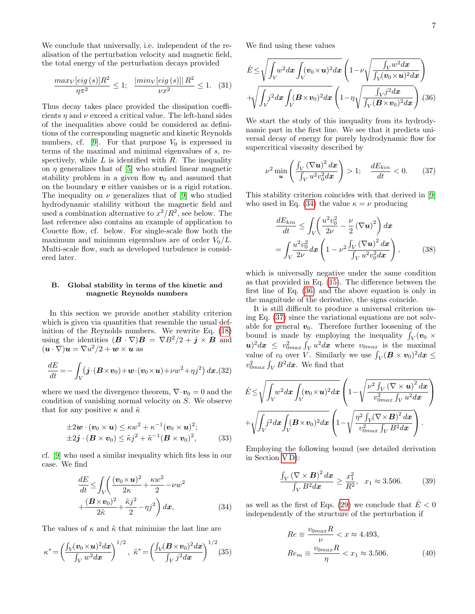We conclude that universally, i.e. independent of the realisation of the perturbation velocity and magnetic field, the total energy of the perturbation decays provided

<span id="page-6-0"></span>
$$
\frac{\max_{V} [eig(s)]R^2}{\eta \pi^2} \le 1; \quad \frac{|\min_{V} [eig(s)]|R^2}{\nu x^2} \le 1. \quad (31)
$$

Thus decay takes place provided the dissipation coefficients  $\eta$  and  $\nu$  exceed a critical value. The left-hand sides of the inequalities above could be considered as definitions of the corresponding magnetic and kinetic Reynolds numbers, cf. [\[9\]](#page-17-8). For that purpose  $V_0$  is expressed in terms of the maximal and minimal eigenvalues of s, respectively, while  $L$  is identified with  $R$ . The inequality on  $\eta$  generalizes that of [\[5\]](#page-17-4) who studied linear magnetic stability problem in a given flow  $v_0$  and assumed that on the boundary  $v$  either vanishes or is a rigid rotation. The inequality on  $\nu$  generalizes that of [\[9\]](#page-17-8) who studied hydrodynamic stability without the magnetic field and used a combination alternative to  $x^2/R^2$ , see below. The last reference also contains an example of application to Couette flow, cf. below. For single-scale flow both the maximum and minimum eigenvalues are of order  $V_0/L$ . Multi-scale flow, such as developed turbulence is considered later.

# <span id="page-6-1"></span>B. Global stability in terms of the kinetic and magnetic Reynolds numbers

In this section we provide another stability criterion which is given via quantities that resemble the usual definition of the Reynolds numbers. We rewrite Eq. [\(18\)](#page-4-0) using the identities  $(B \cdot \nabla)B = \nabla B^2/2 + j \times B$  and  $(\mathbf{u} \cdot \nabla) \mathbf{u} = \nabla u^2/2 + \mathbf{w} \times \mathbf{u}$  as

<span id="page-6-6"></span>
$$
\frac{dE}{dt} = -\int_{V} (\boldsymbol{j} \cdot (\boldsymbol{B} \times \boldsymbol{v}_0) + \boldsymbol{w} \cdot (\boldsymbol{v}_0 \times \boldsymbol{u}) + \nu w^2 + \eta j^2) dx, (32)
$$

where we used the divergence theorem,  $\nabla \cdot \boldsymbol{v}_0 = 0$  and the condition of vanishing normal velocity on S. We observe that for any positive  $\kappa$  and  $\tilde{\kappa}$ 

$$
\pm 2\boldsymbol{w} \cdot (\boldsymbol{v}_0 \times \boldsymbol{u}) \le \kappa \omega^2 + \kappa^{-1} (\boldsymbol{v}_0 \times \boldsymbol{u})^2; \pm 2\boldsymbol{j} \cdot (\boldsymbol{B} \times \boldsymbol{v}_0) \le \tilde{\kappa} j^2 + \tilde{\kappa}^{-1} (\boldsymbol{B} \times \boldsymbol{v}_0)^2,
$$
(33)

cf. [\[9\]](#page-17-8) who used a similar inequality which fits less in our case. We find

<span id="page-6-3"></span>
$$
\frac{dE}{dt} \leq \int_{V} \left( \frac{(\mathbf{v}_0 \times \mathbf{u})^2}{2\kappa} + \frac{\kappa w^2}{2} - \nu w^2 + \frac{(\mathbf{B} \times \mathbf{v}_0)^2}{2\kappa} + \frac{\tilde{\kappa}j^2}{2} - \eta j^2 \right) d\mathbf{x},\tag{34}
$$

The values of  $\kappa$  and  $\tilde{\kappa}$  that minimize the last line are

$$
\kappa^* = \left(\frac{\int_V (v_0 \times u)^2 dx}{\int_V w^2 dx}\right)^{1/2}, \ \tilde{\kappa}^* = \left(\frac{\int_V (B \times v_0)^2 dx}{\int_V j^2 dx}\right)^{1/2} (35)
$$

We find using these values

<span id="page-6-4"></span>
$$
\dot{E} \leq \sqrt{\int_{V} w^2 dx \int_{V} (v_0 \times u)^2 dx} \left(1 - \nu \sqrt{\frac{\int_{V} w^2 dx}{\int_{V} (v_0 \times u)^2 dx}}\right)
$$

$$
+ \sqrt{\int_{V} j^2 dx \int_{V} (B \times v_0)^2 dx} \left(1 - \eta \sqrt{\frac{\int_{V} j^2 dx}{\int_{V} (B \times v_0)^2 dx}}\right). (36)
$$

We start the study of this inequality from its hydrodynamic part in the first line. We see that it predicts universal decay of energy for purely hydrodynamic flow for supercritical viscosity described by

<span id="page-6-5"></span>
$$
\nu^2 \min_{\mathbf{u}} \left( \frac{\int_V (\nabla \mathbf{u})^2 d\mathbf{x}}{\int_V u^2 v_0^2 d\mathbf{x}} \right) > 1; \quad \frac{dE_{kin}}{dt} < 0. \tag{37}
$$

This stability criterion coincides with that derived in [\[9\]](#page-17-8) who used in Eq. [\(34\)](#page-6-3) the value  $\kappa = \nu$  producing

$$
\frac{dE_{kin}}{dt} \le \int_V \left(\frac{u^2 v_0^2}{2\nu} - \frac{\nu}{2} (\nabla u)^2\right) dx
$$

$$
= \int_V \frac{u^2 v_0^2}{2\nu} dx \left(1 - \nu^2 \frac{\int_V (\nabla u)^2 dx}{\int_V u^2 v_0^2 dx}\right), \tag{38}
$$

which is universally negative under the same condition as that provided in Eq. [\(15\)](#page-3-3). The difference between the first line of Eq. [\(36\)](#page-6-4) and the above equation is only in the magnitude of the derivative, the signs coincide.

It is still difficult to produce a universal criterion using Eq. [\(37\)](#page-6-5) since the variational equations are not solvable for general  $v_0$ . Therefore further loosening of the bound is made by employing the inequality  $\int_V (v_0 \times$  $(u)^2 dx \leq v_{0max}^2 \int_V u^2 dx$  where  $v_{0max}$  is the maximal value of  $v_0$  over V. Similarly we use  $\int_V (\mathbf{B} \times \mathbf{v}_0)^2 dx \leq$  $v_{0max}^2 \int_V B^2 dx$ . We find that

$$
\dot{E} \leq \sqrt{\int_{V} w^2 dx \int_{V} (v_0 \times u)^2 dx} \left(1 - \sqrt{\frac{\nu^2 \int_{V} (\nabla \times u)^2 dx}{v_{0max}^2 \int_{V} u^2 dx}}\right) + \sqrt{\int_{V} j^2 dx \int_{V} (B \times v_0)^2 dx} \left(1 - \sqrt{\frac{\eta^2 \int_{V} (\nabla \times \mathbf{B})^2 dx}{v_{0max}^2 \int_{V} B^2 dx}}\right).
$$

Employing the following bound (see detailed derivation in Section [V D\)](#page-9-0):

$$
\frac{\int_{V} \left(\nabla \times \mathbf{B}\right)^2 d\mathbf{x}}{\int_{V} B^2 d\mathbf{x}} \ge \frac{x_1^2}{R^2}, \quad x_1 \approx 3.506. \tag{39}
$$

as well as the first of Eqs. [\(29\)](#page-5-3) we conclude that  $\dot{E} < 0$ independently of the structure of the perturbation if

<span id="page-6-2"></span>
$$
Re \equiv \frac{v_{0max}R}{\nu} < x \approx 4.493,
$$
\n
$$
Re_m \equiv \frac{v_{0max}R}{\eta} < x_1 \approx 3.506. \tag{40}
$$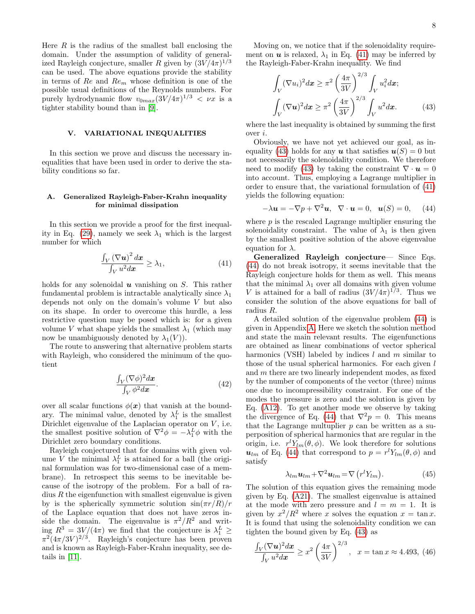Here  $R$  is the radius of the smallest ball enclosing the domain. Under the assumption of validity of generalized Rayleigh conjecture, smaller R given by  $(3V/4\pi)^{1/3}$ can be used. The above equations provide the stability in terms of Re and  $Re_m$  whose definition is one of the possible usual definitions of the Reynolds numbers. For purely hydrodynamic flow  $v_{0max}(3V/4\pi)^{1/3} < \nu x$  is a tighter stability bound than in [\[9\]](#page-17-8).

# <span id="page-7-0"></span>V. VARIATIONAL INEQUALITIES

In this section we prove and discuss the necessary inequalities that have been used in order to derive the stability conditions so far.

# <span id="page-7-3"></span>A. Generalized Rayleigh-Faber-Krahn inequality for minimal dissipation

In this section we provide a proof for the first inequal-ity in Eq. [\(29\)](#page-5-3), namely we seek  $\lambda_1$  which is the largest number for which

<span id="page-7-1"></span>
$$
\frac{\int_{V} \left(\nabla u\right)^2 dx}{\int_{V} u^2 dx} \ge \lambda_1,\tag{41}
$$

holds for any solenoidal  $u$  vanishing on  $S$ . This rather fundamental problem is intractable analytically since  $\lambda_1$ depends not only on the domain's volume  $V$  but also on its shape. In order to overcome this hurdle, a less restrictive question may be posed which is: for a given volume V what shape yields the smallest  $\lambda_1$  (which may now be unambiguously denoted by  $\lambda_1(V)$ ).

The route to answering that alternative problem starts with Rayleigh, who considered the minimum of the quotient

$$
\frac{\int_V (\nabla \phi)^2 d\mathbf{x}}{\int_V \phi^2 d\mathbf{x}}.\tag{42}
$$

over all scalar functions  $\phi(x)$  that vanish at the boundary. The minimal value, denoted by  $\lambda_1^L$  is the smallest Dirichlet eigenvalue of the Laplacian operator on  $V$ , i.e. the smallest positive solution of  $\nabla^2 \phi = -\lambda_1^L \phi$  with the Dirichlet zero boundary conditions.

Rayleigh conjectured that for domains with given volume V the minimal  $\lambda_1^L$  is attained for a ball (the original formulation was for two-dimensional case of a membrane). In retrospect this seems to be inevitable because of the isotropy of the problem. For a ball of radius  $R$  the eigenfunction with smallest eigenvalue is given by is the spherically symmetric solution  $sin(\pi r/R)/r$ of the Laplace equation that does not have zeros inside the domain. The eigenvalue is  $\pi^2/R^2$  and writing  $R^3 = 3V/(4\pi)$  we find that the conjecture is  $\lambda_1^L \geq$  $\pi^2(4\pi/3V)^{2/3}$ . Rayleigh's conjecture has been proven and is known as Rayleigh-Faber-Krahn inequality, see details in [\[11\]](#page-18-2).

Moving on, we notice that if the solenoidality requirement on  $u$  is relaxed,  $\lambda_1$  in Eq. [\(41\)](#page-7-1) may be inferred by the Rayleigh-Faber-Krahn inequality. We find

<span id="page-7-4"></span>
$$
\int_{V} (\nabla u_i)^2 dx \ge \pi^2 \left(\frac{4\pi}{3V}\right)^{2/3} \int_{V} u_i^2 dx;
$$
\n
$$
\int_{V} (\nabla u)^2 dx \ge \pi^2 \left(\frac{4\pi}{3V}\right)^{2/3} \int_{V} u^2 dx.
$$
\n(43)

where the last inequality is obtained by summing the first over i.

Obviously, we have not yet achieved our goal, as in-equality [\(43\)](#page-7-4) holds for any **u** that satisfies  $u(S) = 0$  but not necessarily the solenoidality condition. We therefore need to modify [\(43\)](#page-7-4) by taking the constraint  $\nabla \cdot \mathbf{u} = 0$ into account. Thus, employing a Lagrange multiplier in order to ensure that, the variational formulation of [\(41\)](#page-7-1) yields the following equation:

<span id="page-7-2"></span>
$$
-\lambda \mathbf{u} = -\nabla p + \nabla^2 \mathbf{u}, \quad \nabla \cdot \mathbf{u} = 0, \quad \mathbf{u}(S) = 0, \quad (44)
$$

where  $p$  is the rescaled Lagrange multiplier ensuring the solenoidality constraint. The value of  $\lambda_1$  is then given by the smallest positive solution of the above eigenvalue equation for  $\lambda$ .

Generalized Rayleigh conjecture— Since Eqs. [\(44\)](#page-7-2) do not break isotropy, it seems inevitable that the Rayleigh conjecture holds for them as well. This means that the minimal  $\lambda_1$  over all domains with given volume V is attained for a ball of radius  $(3V/4\pi)^{1/3}$ . Thus we consider the solution of the above equations for ball of radius R.

A detailed solution of the eigenvalue problem [\(44\)](#page-7-2) is given in Appendix [A.](#page-15-0) Here we sketch the solution method and state the main relevant results. The eigenfunctions are obtained as linear combinations of vector spherical harmonics (VSH) labeled by indices  $l$  and  $m$  similar to those of the usual spherical harmonics. For each given l and m there are two linearly independent modes, as fixed by the number of components of the vector (three) minus one due to incompressibility constraint. For one of the modes the pressure is zero and the solution is given by Eq. [\(A12\)](#page-16-0). To get another mode we observe by taking the divergence of Eq. [\(44\)](#page-7-2) that  $\nabla^2 p = 0$ . This means that the Lagrange multuplier  $p$  can be written as a superposition of spherical harmonics that are regular in the origin, i.e.  $r^l Y_{lm}(\theta, \phi)$ . We look therefore for solutions  $u_{lm}$  of Eq. [\(44\)](#page-7-2) that correspond to  $p = r^l Y_{lm}(\theta, \phi)$  and satisfy

$$
\lambda_{lm}\mathbf{u}_{lm} + \nabla^2 \mathbf{u}_{lm} = \nabla (r^l Y_{lm}). \tag{45}
$$

The solution of this equation gives the remaining mode given by Eq. [\(A21\)](#page-17-9). The smallest eigenvalue is attained at the mode with zero pressure and  $l = m = 1$ . It is given by  $x^2/R^2$  where x solves the equation  $x = \tan x$ . It is found that using the solenoidality condition we can tighten the bound given by Eq. [\(43\)](#page-7-4) as

<span id="page-7-5"></span>
$$
\frac{\int_V (\nabla \mathbf{u})^2 d\mathbf{x}}{\int_V u^2 d\mathbf{x}} \ge x^2 \left(\frac{4\pi}{3V}\right)^{2/3}, \quad x = \tan x \approx 4.493, \ (46)
$$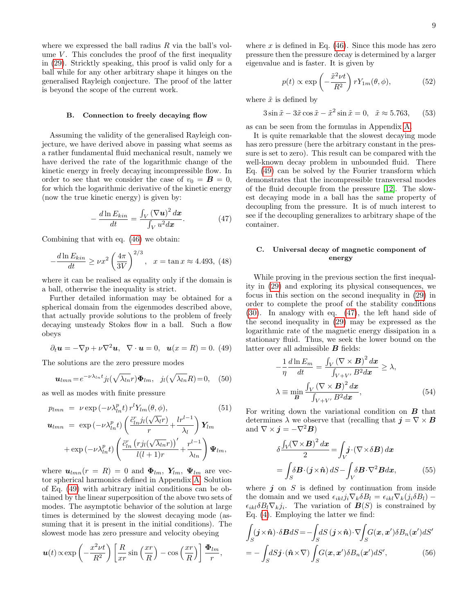where we expressed the ball radius  $R$  via the ball's volume  $V$ . This concludes the proof of the first inequality in [\(29\)](#page-5-3). Stricktly speaking, this proof is valid only for a ball while for any other arbitrary shape it hinges on the generalised Rayleigh conjecture. The proof of the latter is beyond the scope of the current work.

### B. Connection to freely decaying flow

Assuming the validity of the generalised Rayleigh conjecture, we have derived above in passing what seems as a rather fundamental fluid mechanical result, namely we have derived the rate of the logarithmic change of the kinetic energy in freely decaying incompressible flow. In order to see that we consider the case of  $v_0 = \mathbf{B} = 0$ , for which the logarithmic derivative of the kinetic energy (now the true kinetic energy) is given by:

<span id="page-8-3"></span>
$$
-\frac{d\ln E_{kin}}{dt} = \frac{\int_{V} (\nabla u)^2 dx}{\int_{V} u^2 dx}.
$$
 (47)

Combining that with eq. [\(46\)](#page-7-5) we obtain:

$$
-\frac{d\ln E_{kin}}{dt} \ge \nu x^2 \left(\frac{4\pi}{3V}\right)^{2/3}, \ \ x = \tan x \approx 4.493, \ (48)
$$

where it can be realised as equality only if the domain is a ball, otherwise the inequality is strict.

Further detailed information may be obtained for a spherical domain from the eigenmodes described above, that actually provide solutions to the problem of freely decaying unsteady Stokes flow in a ball. Such a flow obeys

<span id="page-8-2"></span>
$$
\partial_t \mathbf{u} = -\nabla p + \nu \nabla^2 \mathbf{u}, \quad \nabla \cdot \mathbf{u} = 0, \quad \mathbf{u}(x = R) = 0. \tag{49}
$$

The solutions are the zero pressure modes

<span id="page-8-0"></span>
$$
\boldsymbol{u}_{lmn} = e^{-\nu \lambda_{ln} t} j_l(\sqrt{\lambda_{ln}} r) \boldsymbol{\Phi}_{lm}, \ \ j_l(\sqrt{\lambda_{ln}} R) = 0, \ \ (50)
$$

as well as modes with finite pressure

$$
p_{lmn} = \nu \exp(-\nu \lambda_{ln}^p t) r^l Y_{lm}(\theta, \phi), \qquad (51)
$$
  

$$
\mathbf{u}_{lmn} = \exp(-\nu \lambda_{ln}^p t) \left( \frac{\tilde{c}_{ln}^r j_l(\sqrt{\lambda_l}r)}{r} + \frac{lr^{l-1}}{\lambda_l} \right) \mathbf{Y}_{lm}
$$
  

$$
+ \exp(-\nu \lambda_{ln}^p t) \left( \frac{\tilde{c}_{ln}^r (r j_l(\sqrt{\lambda_{ln}}r))'}{l(l+1)r} + \frac{r^{l-1}}{\lambda_{ln}} \right) \mathbf{\Psi}_{lm},
$$

where  $u_{lmn}(r = R) = 0$  and  $\Phi_{lm}$ ,  $Y_{lm}$ ,  $\Psi_{lm}$  are vector spherical harmonics defined in Appendix [A.](#page-15-0) Solution of Eq. [\(49\)](#page-8-2) with arbitrary initial conditions can be obtained by the linear superposition of the above two sets of modes. The asymptotic behavior of the solution at large times is determined by the slowest decaying mode (assuming that it is present in the initial conditions). The slowest mode has zero pressure and velocity obeying

$$
\boldsymbol{u}(t) \propto \exp\left(-\frac{x^2\nu t}{R^2}\right) \left[\frac{R}{xr}\sin\left(\frac{xr}{R}\right) - \cos\left(\frac{xr}{R}\right)\right] \frac{\Phi_{lm}}{r},
$$

where  $x$  is defined in Eq. [\(46\)](#page-7-5). Since this mode has zero pressure then the pressure decay is determined by a larger eigenvalue and is faster. It is given by

$$
p(t) \propto \exp\left(-\frac{\tilde{x}^2 \nu t}{R^2}\right) r Y_{1m}(\theta, \phi),\tag{52}
$$

where  $\tilde{x}$  is defined by

$$
3\sin\tilde{x} - 3\tilde{x}\cos\tilde{x} - \tilde{x}^2\sin\tilde{x} = 0, \quad \tilde{x} \approx 5.763,\qquad(53)
$$

as can be seen from the formulas in Appendix [A.](#page-15-0)

It is quite remarkable that the slowest decaying mode has zero pressure (here the arbitrary constant in the pressure is set to zero). This result can be compared with the well-known decay problem in unbounded fluid. There Eq. [\(49\)](#page-8-2) can be solved by the Fourier transform which demonstrates that the incompressible transversal modes of the fluid decouple from the pressure [\[12\]](#page-18-3). The slowest decaying mode in a ball has the same property of decoupling from the pressure. It is of much interest to see if the decoupling generalizes to arbitrary shape of the container.

# <span id="page-8-1"></span>C. Universal decay of magnetic component of energy

While proving in the previous section the first inequality in [\(29\)](#page-5-3) and exploring its physical consequences, we focus in this section on the second inequality in [\(29\)](#page-5-3) in order to complete the proof of the stability conditions [\(30\)](#page-5-4). In analogy with eq. [\(47\)](#page-8-3), the left hand side of the second inequality in [\(29\)](#page-5-3) may be expressed as the logarithmic rate of the magnetic energy dissipation in a stationary fluid. Thus, we seek the lower bound on the latter over all admissible  $B$  fields:

<span id="page-8-4"></span>
$$
-\frac{1}{\eta} \frac{d \ln E_m}{dt} = \frac{\int_V (\nabla \times \mathbf{B})^2 dx}{\int_{V+V'} B^2 dx} \ge \lambda,
$$
  

$$
\lambda \equiv \min_{\mathbf{B}} \frac{\int_V (\nabla \times \mathbf{B})^2 dx}{\int_{V+V'} B^2 dx},
$$
(54)

For writing down the variational condition on  $\boldsymbol{B}$  that determines  $\lambda$  we observe that (recalling that  $j = \nabla \times \boldsymbol{B}$ and  $\nabla \times \mathbf{j} = -\nabla^2 \mathbf{B}$ 

$$
\delta \frac{\int_{V} (\nabla \times \mathbf{B})^2 dx}{2} = \int_{V} \mathbf{j} \cdot (\nabla \times \delta \mathbf{B}) dx
$$

$$
= \int_{S} \delta \mathbf{B} \cdot (\mathbf{j} \times \hat{\mathbf{n}}) dS - \int_{V} \delta \mathbf{B} \cdot \nabla^2 \mathbf{B} dx, \tag{55}
$$

where  $j$  on  $S$  is defined by continuation from inside the domain and we used  $\epsilon_{ikl}j_i\nabla_k\delta B_l = \epsilon_{ikl}\nabla_k(j_i\delta B_l)$  –  $\epsilon_{ikl}\delta B_l\nabla_k j_i$ . The variation of  $\mathbf{B}(S)$  is constrained by Eq. [\(4\)](#page-2-1). Employing the latter we find:

$$
\int_{S} (\mathbf{j} \times \hat{\mathbf{n}}) \cdot \delta \mathbf{B} dS = -\int_{S} dS (\mathbf{j} \times \hat{\mathbf{n}}) \cdot \nabla \int_{S} G(\mathbf{x}, \mathbf{x}') \delta B_{n}(\mathbf{x}') dS'
$$
  
= 
$$
-\int_{S} dS \mathbf{j} \cdot (\hat{\mathbf{n}} \times \nabla) \int_{S} G(\mathbf{x}, \mathbf{x}') \delta B_{n}(\mathbf{x}') dS', \tag{56}
$$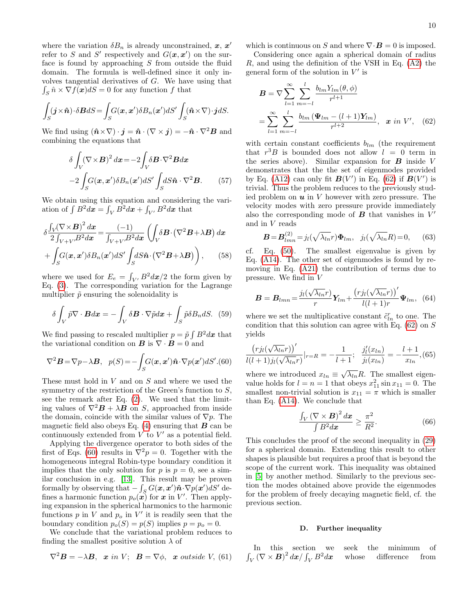where the variation  $\delta B_n$  is already unconstrained,  $x, x'$ refer to S and S' respectively and  $G(\mathbf{x}, \mathbf{x}')$  on the surface is found by approaching  $S$  from outside the fluid domain. The formula is well-defined since it only involves tangential derivatives of G. We have using that  $\int_{S} \hat{n} \times \nabla f(\boldsymbol{x}) dS = 0$  for any function f that

$$
\int_{S} (\boldsymbol{j} \times \boldsymbol{\hat{n}}) \cdot \delta \boldsymbol{B} dS = \int_{S} G(\boldsymbol{x}, \boldsymbol{x}') \delta B_{n}(\boldsymbol{x}') dS' \int_{S} (\boldsymbol{\hat{n}} \times \nabla) \cdot \boldsymbol{j} dS.
$$

We find using  $(\hat{\boldsymbol{n}} \times \nabla) \cdot \boldsymbol{j} = \hat{\boldsymbol{n}} \cdot (\nabla \times \boldsymbol{j}) = -\hat{\boldsymbol{n}} \cdot \nabla^2 \boldsymbol{B}$  and combining the equations that

$$
\delta \int_{V} (\nabla \times \mathbf{B})^2 dx = -2 \int_{V} \delta \mathbf{B} \cdot \nabla^2 \mathbf{B} dx
$$

$$
-2 \int_{S} G(\mathbf{x}, \mathbf{x}') \delta B_n(\mathbf{x}') dS' \int_{S} dS \hat{\mathbf{n}} \cdot \nabla^2 \mathbf{B}.
$$
(57)

We obtain using this equation and considering the variation of  $\int B^2 dx = \int_V B^2 dx + \int_{V'} B^2 dx$  that

$$
\delta \frac{\int_{V} (\nabla \times \mathbf{B})^{2} dx}{2 \int_{V+V'} B^{2} dx} = \frac{(-1)}{\int_{V+V'} B^{2} dx} \left( \int_{V} \delta \mathbf{B} \cdot (\nabla^{2} \mathbf{B} + \lambda \mathbf{B}) dx \right)
$$

$$
+ \int_{S} G(\mathbf{x}, \mathbf{x}') \delta B_{n}(\mathbf{x}') dS' \int_{S} dS \hat{\mathbf{n}} \cdot (\nabla^{2} \mathbf{B} + \lambda \mathbf{B}) \right), \qquad (58)
$$

where we used for  $E_e = \int_{V'} B^2 dx/2$  the form given by Eq. [\(3\)](#page-2-2). The corresponding variation for the Lagrange multiplier  $\tilde{p}$  ensuring the solenoidality is

$$
\delta \int_{V} \tilde{p} \nabla \cdot \boldsymbol{B} d\boldsymbol{x} = -\int_{V} \delta \boldsymbol{B} \cdot \nabla \tilde{p} d\boldsymbol{x} + \int_{S} \tilde{p} \delta B_{n} dS. \tag{59}
$$

We find passing to rescaled multiplier  $p = \tilde{p} \int B^2 dx$  that the variational condition on  $\mathbf{B}$  is  $\nabla \cdot \mathbf{B} = 0$  and

<span id="page-9-1"></span>
$$
\nabla^2 \mathbf{B} = \nabla p - \lambda \mathbf{B}, \quad p(S) = -\int_S G(\mathbf{x}, \mathbf{x}') \hat{\mathbf{n}} \cdot \nabla p(\mathbf{x}') dS'.\text{(60)}
$$

These must hold in V and on S and where we used the symmetry of the restriction of the Green's function to  $S$ , see the remark after Eq. [\(2\)](#page-1-3). We used that the limiting values of  $\nabla^2 \mathbf{B} + \lambda \mathbf{B}$  on S, approached from inside the domain, coincide with the similar values of  $\nabla p$ . The magnetic field also obeys Eq.  $(4)$  ensuring that **B** can be continuously extended from  $\overline{V}$  to  $\overline{V}'$  as a potential field.

Applying the divergence operator to both sides of the first of Eqs. [\(60\)](#page-9-1) results in  $\nabla^2 p = 0$ . Together with the homogeneous integral Robin-type boundary condition it implies that the only solution for p is  $p = 0$ , see a similar conclusion in e.g. [\[13\]](#page-18-4). This result may be proven formally by observing that  $-\int_S G(\mathbf{x}, \mathbf{x}') \hat{\mathbf{n}} \cdot \nabla p(\mathbf{x}') dS'$  defines a harmonic function  $p_o(\mathbf{x})$  for  $\mathbf{x}$  in  $V'$ . Then applying expansion in the spherical harmonics to the harmonic functions  $p$  in  $V$  and  $p_o$  in  $V'$  it is readily seen that the boundary condition  $p_o(S) = p(S)$  implies  $p = p_o = 0$ .

We conclude that the variational problem reduces to finding the smallest positive solution  $\lambda$  of

$$
\nabla^2 \mathbf{B} = -\lambda \mathbf{B}, \quad \mathbf{x} \text{ in } V; \quad \mathbf{B} = \nabla \phi, \quad \mathbf{x} \text{ outside } V, \text{ (61)}
$$

which is continuous on S and where  $\nabla \cdot \mathbf{B} = 0$  is imposed.

Considering once again a spherical domain of radius  $R$ , and using the definition of the VSH in Eq.  $(A2)$  the general form of the solution in  $V'$  is

<span id="page-9-2"></span>
$$
B = \nabla \sum_{l=1}^{\infty} \sum_{m=-l}^{l} \frac{b_{lm} Y_{lm}(\theta, \phi)}{r^{l+1}}
$$
  
= 
$$
\sum_{l=1}^{\infty} \sum_{m=-l}^{l} \frac{b_{lm} (\Psi_{lm} - (l+1)Y_{lm})}{r^{l+2}}, \quad x \text{ in } V', \quad (62)
$$

with certain constant coefficients  $b_{lm}$  (the requirement that  $r^3B$  is bounded does not allow  $l = 0$  term in the series above). Similar expansion for  $\boldsymbol{B}$  inside V demonstrates that the the set of eigenmodes provided by Eq. [\(A12\)](#page-16-0) can only fit  $\mathbf{B}(V')$  in Eq. [\(62\)](#page-9-2) if  $\mathbf{B}(V')$  is trivial. Thus the problem reduces to the previously studied problem on  $u$  in  $V$  however with zero pressure. The velocity modes with zero pressure provide immediately also the corresponding mode of  $\boldsymbol{B}$  that vanishes in  $V'$ and in V reads

<span id="page-9-3"></span>
$$
\boldsymbol{B} = \boldsymbol{B}_{lmn}^{(2)} = j_l(\sqrt{\lambda_{ln}}r)\boldsymbol{\Phi}_{lm}, \quad j_l(\sqrt{\lambda_{ln}}R) = 0,\qquad(63)
$$

cf. Eq. [\(50\)](#page-8-0). The smallest eigenvalue is given by Eq. [\(A14\)](#page-16-1). The other set of eigenmodes is found by removing in Eq. [\(A21\)](#page-17-9) the contribution of terms due to pressure. We find in V

$$
\boldsymbol{B} = \boldsymbol{B}_{lmn} = \frac{j_l(\sqrt{\lambda_{ln}}r)}{r} \boldsymbol{Y}_{lm} + \frac{(rj_l(\sqrt{\lambda_{ln}}r))'}{l(l+1)r} \boldsymbol{\Psi}_{lm}, \quad (64)
$$

where we set the multiplicative constant  $\tilde{c}^r_{ln}$  to one. The condition that this solution can agree with Eq.  $(62)$  on S yields

$$
\frac{(rj_l(\sqrt{\lambda_{ln}}r))'}{l(l+1)j_l(\sqrt{\lambda_{ln}}r)}|_{r=R} = -\frac{1}{l+1}; \quad \frac{j'_l(x_{ln})}{j_l(x_{ln})} = -\frac{l+1}{x_{ln}}, (65)
$$

where we introduced  $x_{ln} \equiv \sqrt{\lambda_{ln}}R$ . The smallest eigenvalue holds for  $l = n = 1$  that obeys  $x_{11}^2 \sin x_{11} = 0$ . The smallest non-trivial solution is  $x_{11} = \pi$  which is smaller than Eq. [\(A14\)](#page-16-1). We conclude that

<span id="page-9-4"></span>
$$
\frac{\int_{V} \left(\nabla \times \mathbf{B}\right)^2 d\mathbf{x}}{\int B^2 d\mathbf{x}} \ge \frac{\pi^2}{R^2}.
$$
\n(66)

This concludes the proof of the second inequality in [\(29\)](#page-5-3) for a spherical domain. Extending this result to other shapes is plausible but requires a proof that is beyond the scope of the current work. This inequality was obtained in [\[5\]](#page-17-4) by another method. Similarly to the previous section the modes obtained above provide the eigenmodes for the problem of freely decaying magnetic field, cf. the previous section.

### <span id="page-9-0"></span>D. Further inequality

In this section we seek the minimum of  $\int_V (\nabla \times \mathbf{B})^2 dx / \int_V B^2 dx$  whose difference from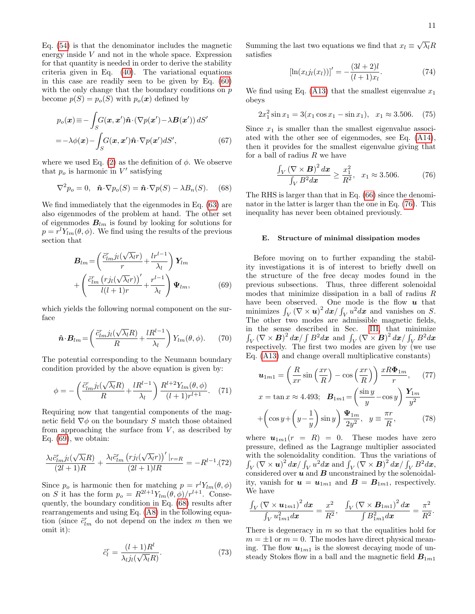Eq. [\(54\)](#page-8-4) is that the denominator includes the magnetic energy inside  $V$  and not in the whole space. Expression for that quantity is needed in order to derive the stability criteria given in Eq. [\(40\)](#page-6-2). The variational equations in this case are readily seen to be given by Eq. [\(60\)](#page-9-1) with the only change that the boundary conditions on  $p$ become  $p(S) = p_o(S)$  with  $p_o(\boldsymbol{x})$  defined by

$$
p_o(\mathbf{x}) \equiv -\int_S G(\mathbf{x}, \mathbf{x}') \hat{\mathbf{n}} \cdot (\nabla p(\mathbf{x}') - \lambda \mathbf{B}(\mathbf{x}')) dS'
$$
  
=  $-\lambda \phi(\mathbf{x}) - \int_S G(\mathbf{x}, \mathbf{x}') \hat{\mathbf{n}} \cdot \nabla p(\mathbf{x}') dS',$  (67)

where we used Eq. [\(2\)](#page-1-3) as the definition of  $\phi$ . We observe that  $p_o$  is harmonic in  $V'$  satisfying

<span id="page-10-2"></span>
$$
\nabla^2 p_o = 0, \quad \hat{\boldsymbol{n}} \cdot \nabla p_o(S) = \hat{\boldsymbol{n}} \cdot \nabla p(S) - \lambda B_n(S). \tag{68}
$$

We find immediately that the eigenmodes in Eq. [\(63\)](#page-9-3) are also eigenmodes of the problem at hand. The other set of eigenmodes  $B_{lm}$  is found by looking for solutions for  $p = r^l Y_{lm}(\theta, \phi)$ . We find using the results of the previous section that

<span id="page-10-1"></span>
$$
\mathbf{B}_{lm} = \left(\frac{\tilde{c}_{lm}^{r} j_l(\sqrt{\lambda_l}r)}{r} + \frac{lr^{l-1}}{\lambda_l}\right) \mathbf{Y}_{lm} + \left(\frac{\tilde{c}_{lm}^{r} (r j_l(\sqrt{\lambda_l}r))'}{l(l+1)r} + \frac{r^{l-1}}{\lambda_l}\right) \mathbf{\Psi}_{lm},
$$
(69)

which yields the following normal component on the surface

$$
\hat{\boldsymbol{n}} \cdot \boldsymbol{B}_{lm} = \left(\frac{\tilde{c}_{lm}^r j_l(\sqrt{\lambda_l}R)}{R} + \frac{lR^{l-1}}{\lambda_l}\right) Y_{lm}(\theta, \phi).
$$
 (70)

The potential corresponding to the Neumann boundary condition provided by the above equation is given by:

$$
\phi = -\left(\frac{\tilde{c}_{lm}^r j_l(\sqrt{\lambda_l}R)}{R} + \frac{lR^{l-1}}{\lambda_l}\right) \frac{R^{l+2}Y_{lm}(\theta, \phi)}{(l+1)r^{l+1}}.\tag{71}
$$

Requiring now that tangential components of the magnetic field  $\nabla \phi$  on the boundary S match those obtained from approaching the surface from  $V$ , as described by Eq.  $(69)$ , we obtain:

$$
\frac{\lambda_l \tilde{c}_{lm}^r j_l(\sqrt{\lambda_l}R)}{(2l+1)R} + \frac{\lambda_l \tilde{c}_{lm}^r (r j_l(\sqrt{\lambda_l}r))' \vert_{r=R}}{(2l+1)lR} = -R^{l-1}.
$$
 (72)

Since  $p_o$  is harmonic then for matching  $p = r^l Y_{lm}(\theta, \phi)$ on S it has the form  $p_o = R^{2l+1} Y_{lm}(\theta, \phi)/r^{l+1}$ . Consequently, the boundary condition in Eq. [\(68\)](#page-10-2) results after rearrangements and using Eq. [\(A8\)](#page-16-2) in the following equation (since  $\tilde{c}^r_{lm}$  do not depend on the index m then we omit it):

<span id="page-10-3"></span>
$$
\tilde{c}_l^r = \frac{(l+1)R^l}{\lambda_l j_l(\sqrt{\lambda_l}R)}.\tag{73}
$$

Summing the last two equations we find that  $x_l \equiv \sqrt{\lambda_l}R$ satisfies

$$
[\ln(x_{l}j_{l}(x_{l}))]' = -\frac{(3l+2)l}{(l+1)x_{l}}.
$$
\n(74)

We find using Eq. [\(A13\)](#page-16-3) that the smallest eigenvalue  $x_1$ obeys

$$
2x_1^2 \sin x_1 = 3(x_1 \cos x_1 - \sin x_1), \quad x_1 \approx 3.506. \tag{75}
$$

Since  $x_1$  is smaller than the smallest eigenvalue associated with the other see of eigenmodes, see Eq. [\(A14\)](#page-16-1), then it provides for the smallest eigenvalue giving that for a ball of radius  $R$  we have

<span id="page-10-0"></span>
$$
\frac{\int_V (\nabla \times \mathbf{B})^2 dx}{\int_V B^2 dx} \ge \frac{x_1^2}{R^2}, \quad x_1 \approx 3.506. \tag{76}
$$

The RHS is larger than that in Eq. [\(66\)](#page-9-4) since the denominator in the latter is larger than the one in Eq. [\(76\)](#page-10-0). This inequality has never been obtained previously.

### E. Structure of minimal dissipation modes

Before moving on to further expanding the stability investigations it is of interest to briefly dwell on the structure of the free decay modes found in the previous subsections. Thus, three different solenoidal modes that minimize dissipation in a ball of radius  $R$ have been observed. One mode is the flow  $u$  that minimizes  $\int_V (\nabla \times \boldsymbol{u})^2 d\boldsymbol{x} / \int_V u^2 d\boldsymbol{x}$  and vanishes on S. The other two modes are admissible magnetic fields, in the sense described in Sec. [III,](#page-1-1) that minimize  $\int_V (\nabla \times \boldsymbol{B})^2 d\boldsymbol{x} / \int B^2 d\boldsymbol{x}$  and  $\int_V (\nabla \times \boldsymbol{B})^2 d\boldsymbol{x} / \int_V B^2 d\boldsymbol{x}$ respectively. The first two modes are given by (we use Eq. [\(A13\)](#page-16-3) and change overall multiplicative constants)

<span id="page-10-4"></span>
$$
\mathbf{u}_{1m1} = \left(\frac{R}{xr}\sin\left(\frac{xr}{R}\right) - \cos\left(\frac{xr}{R}\right)\right) \frac{xR\Phi_{1m}}{r},\qquad(77)
$$

$$
x = \tan x \approx 4.493;\quad \mathbf{B}_{1m1} = \left(\frac{\sin y}{y} - \cos y\right) \frac{\mathbf{Y}_{1m}}{y^2}
$$

$$
+\left(\cos y + \left(y - \frac{1}{y}\right)\sin y\right) \frac{\Psi_{1m}}{2y^2},\quad y \equiv \frac{\pi r}{R},\qquad(78)
$$

where  $u_{1m1}(r = R) = 0$ . These modes have zero pressure, defined as the Lagrange multiplier associated with the solenoidality condition. Thus the variations of  $\int_V \left(\nabla\times\bm{u}\right)^2d\bm{x}/\int_V u^2d\bm{x} \text{ and } \int_V \left(\nabla\times\bm{B}\right)^2d\bm{x}/\int_V B^2d\bm{x},$ considered over  $u$  and  $B$  unconstrained by the solenoidality, vanish for  $u = u_{1m1}$  and  $B = B_{1m1}$ , respectively. We have

$$
\frac{\int_V\left(\nabla\times\boldsymbol{u}_{1m1}\right)^2d\boldsymbol{x}}{\int_Vu_{1m1}^2d\boldsymbol{x}}=\frac{x^2}{R^2},~~\frac{\int_V\left(\nabla\times\boldsymbol{B}_{1m1}\right)^2d\boldsymbol{x}}{\int B_{1m1}^2d\boldsymbol{x}}=\frac{\pi^2}{R^2}.
$$

There is degeneracy in  $m$  so that the equalities hold for  $m = \pm 1$  or  $m = 0$ . The modes have direct physical meaning. The flow  $u_{1m1}$  is the slowest decaying mode of unsteady Stokes flow in a ball and the magnetic field  $B_{1m1}$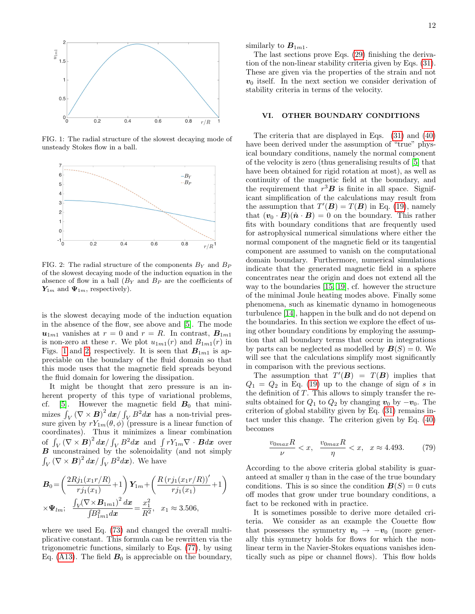

<span id="page-11-2"></span>FIG. 1: The radial structure of the slowest decaying mode of unsteady Stokes flow in a ball.



<span id="page-11-3"></span>FIG. 2: The radial structure of the components  $B_Y$  and  $B_P$ of the slowest decaying mode of the induction equation in the absence of flow in a ball  $(B_Y \text{ and } B_P \text{ are the coefficients of})$  $Y_{1m}$  and  $\Psi_{1m}$ , respectively).

is the slowest decaying mode of the induction equation in the absence of the flow, see above and [\[5\]](#page-17-4). The mode  $u_{1m1}$  vanishes at  $r = 0$  and  $r = R$ . In contrast,  $B_{1m1}$ is non-zero at these r. We plot  $u_{1m1}(r)$  and  $B_{1m1}(r)$  in Figs. [1](#page-11-2) and [2,](#page-11-3) respectively. It is seen that  $B_{1m1}$  is appreciable on the boundary of the fluid domain so that this mode uses that the magnetic field spreads beyond the fluid domain for lowering the dissipation.

It might be thought that zero pressure is an inherent property of this type of variational problems, cf. [\[5\]](#page-17-4). However the magnetic field  $B_0$  that minimizes  $\int_V (\nabla \times \boldsymbol{B})^2 d\boldsymbol{x} / \int_V B^2 d\boldsymbol{x}$  has a non-trivial pressure given by  $rY_{1m}(\theta, \phi)$  (pressure is a linear function of coordinates). Thus it minimizes a linear combination of  $\int_V (\nabla \times \boldsymbol{B})^2 dx / \int_V B^2 dx$  and  $\int rY_{1m} \nabla \cdot \boldsymbol{B} dx$  over **B** unconstrained by the solenoidality (and not simply  $\int_V (\nabla \times \boldsymbol{B})^2 d\boldsymbol{x} / \int_V B^2 d\boldsymbol{x}$ ). We have

$$
\mathbf{B}_{0} = \left(\frac{2Rj_{1}(x_{1}r/R)}{rj_{1}(x_{1})} + 1\right) \mathbf{Y}_{1m} + \left(\frac{R(rj_{1}(x_{1}r/R))'}{rj_{1}(x_{1})} + 1\right) \times \mathbf{\Psi}_{lm}; \quad \frac{\int_{V} (\nabla \times \mathbf{B}_{1m1})^{2} dx}{\int B_{1m1}^{2} dx} = \frac{x_{1}^{2}}{R^{2}}, \quad x_{1} \approx 3.506,
$$

where we used Eq. [\(73\)](#page-10-3) and changed the overall multiplicative constant. This formula can be rewritten via the trigonometric functions, similarly to Eqs. [\(77\)](#page-10-4), by using Eq. [\(A13\)](#page-16-3). The field  $B_0$  is appreciable on the boundary, similarly to  $B_{1m1}$ .

The last sections prove Eqs. [\(29\)](#page-5-3) finishing the derivation of the non-linear stability criteria given by Eqs. [\(31\)](#page-6-0). These are given via the properties of the strain and not  $v_0$  itself. In the next section we consider derivation of stability criteria in terms of the velocity.

# <span id="page-11-0"></span>VI. OTHER BOUNDARY CONDITIONS

The criteria that are displayed in Eqs. [\(31\)](#page-6-0) and [\(40\)](#page-6-2) have been derived under the assumption of "true" physical boundary conditions, namely the normal component of the velocity is zero (thus generalising results of [\[5\]](#page-17-4) that have been obtained for rigid rotation at most), as well as continuity of the magnetic field at the boundary, and the requirement that  $r^3B$  is finite in all space. Significant simplification of the calculations may result from the assumption that  $T'(\mathbf{B}) = T(\mathbf{B})$  in Eq. [\(19\)](#page-4-2), namely that  $(\mathbf{v}_0 \cdot \mathbf{B})(\hat{\mathbf{n}} \cdot \mathbf{B}) = 0$  on the boundary. This rather fits with boundary conditions that are frequently used for astrophysical numerical simulations where either the normal component of the magnetic field or its tangential component are assumed to vanish on the computational domain boundary. Furthermore, numerical simulations indicate that the generated magnetic field in a sphere concentrates near the origin and does not extend all the way to the boundaries [\[15,](#page-18-5) [19\]](#page-18-6), cf. however the structure of the minimal Joule heating modes above. Finally some phenomena, such as kinematic dynamo in homogeneous turbulence [\[14\]](#page-18-7), happen in the bulk and do not depend on the boundaries. In this section we explore the effect of using other boundary conditions by employing the assumption that all boundary terms that occur in integrations by parts can be neglected as modelled by  $\mathbf{B}(S) = 0$ . We will see that the calculations simplify most significantly in comparison with the previous sections.

The assumption that  $T'(\mathbf{B}) = T(\mathbf{B})$  implies that  $Q_1 = Q_2$  in Eq. [\(19\)](#page-4-2) up to the change of sign of s in the definition of  $T$ . This allows to simply transfer the results obtained for  $Q_1$  to  $Q_2$  by changing  $v_0$  by  $-v_0$ . The criterion of global stability given by Eq. [\(31\)](#page-6-0) remains intact under this change. The criterion given by Eq. [\(40\)](#page-6-2) becomes

<span id="page-11-1"></span>
$$
\frac{v_{0max}R}{\nu} < x, \quad \frac{v_{0max}R}{\eta} < x, \quad x \approx 4.493. \tag{79}
$$

According to the above criteria global stability is guaranteed at smaller  $\eta$  than in the case of the true boundary conditions. This is so since the condition  $\mathbf{B}(S) = 0$  cuts off modes that grow under true boundary conditions, a fact to be reckoned with in practice.

It is sometimes possible to derive more detailed criteria. We consider as an example the Couette flow that possesses the symmetry  $v_0 \rightarrow -v_0$  (more generally this symmetry holds for flows for which the nonlinear term in the Navier-Stokes equations vanishes identically such as pipe or channel flows). This flow holds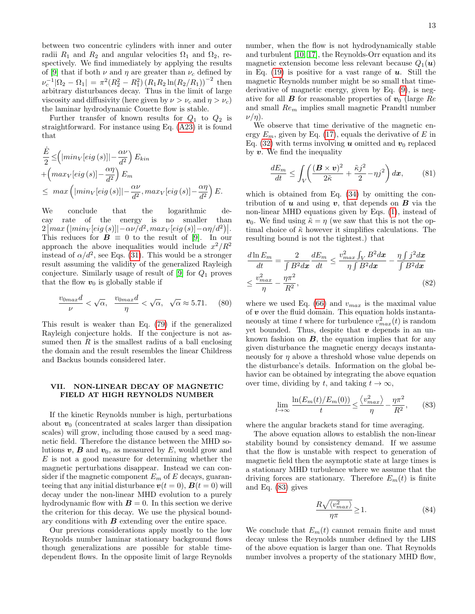between two concentric cylinders with inner and outer radii  $R_1$  and  $R_2$  and angular velocities  $\Omega_1$  and  $\Omega_2$ , respectively. We find immediately by applying the results of [\[9\]](#page-17-8) that if both  $\nu$  and  $\eta$  are greater than  $\nu_c$  defined by  $\nu_c^{-1} |\Omega_2 - \Omega_1| = \pi^2 (R_2^2 - R_1^2) (R_1 R_2 \ln(R_2/R_1))^{-2}$  then arbitrary disturbances decay. Thus in the limit of large viscosity and diffusivity (here given by  $\nu > \nu_c$  and  $\eta > \nu_c$ ) the laminar hydrodynamic Couette flow is stable.

Further transfer of known results for  $Q_1$  to  $Q_2$  is straightforward. For instance using Eq. [\(A23\)](#page-17-10) it is found that

<span id="page-12-2"></span>
$$
\frac{\dot{E}}{2} \leq \left( \left| min_{V} [eig(s)] \right| - \frac{\alpha \nu}{d^2} \right) E_{kin} \n+ \left( \left| max_{V} [eig(s)] - \frac{\alpha \eta}{d^2} \right| E_m \n\leq \left| max \left( \left| min_{V} [eig(s)] \right| - \frac{\alpha \nu}{d^2}, \left| max_{V} [eig(s)] - \frac{\alpha \eta}{d^2} \right| \right) E.
$$

We conclude that the logarithmic decay rate of the energy is no smaller than  $2\left|\max\left(\left|\min_{V}[eig(s)]\right|-\alpha\nu/d^2,\max_{V}[eig(s)]-\alpha\eta/d^2\right)\right|.$ This reduces for  $\mathbf{B} \equiv 0$  to the result of [\[9\]](#page-17-8). In our approach the above inequalities would include  $x^2/R^2$ instead of  $\alpha/d^2$ , see Eqs. [\(31\)](#page-6-0). This would be a stronger result assuming the validity of the generalized Rayleigh conjecture. Similarly usage of result of  $[9]$  for  $Q_1$  proves that the flow  $v_0$  is globally stable if

$$
\frac{v_{0max}d}{\nu} < \sqrt{\alpha}, \quad \frac{v_{0max}d}{\eta} < \sqrt{\alpha}, \quad \sqrt{\alpha} \approx 5.71. \tag{80}
$$

This result is weaker than Eq. [\(79\)](#page-11-1) if the generalized Rayleigh conjecture holds. If the conjecture is not assumed then  $R$  is the smallest radius of a ball enclosing the domain and the result resembles the linear Childress and Backus bounds considered later.

# <span id="page-12-0"></span>VII. NON-LINEAR DECAY OF MAGNETIC FIELD AT HIGH REYNOLDS NUMBER

If the kinetic Reynolds number is high, perturbations about  $v_0$  (concentrated at scales larger than dissipation scales) will grow, including those caused by a seed magnetic field. Therefore the distance between the MHD solutions  $v, B$  and  $v_0$ , as measured by E, would grow and  $E$  is not a good measure for determining whether the magnetic perturbations disappear. Instead we can consider if the magnetic component  $E_m$  of E decays, guaranteeing that any initial disturbance  $v(t = 0)$ ,  $B(t = 0)$  will decay under the non-linear MHD evolution to a purely hydrodynamic flow with  $\mathbf{B} = 0$ . In this section we derive the criterion for this decay. We use the physical boundary conditions with  $\bm{B}$  extending over the entire space.

Our previous considerations apply mostly to the low Reynolds number laminar stationary background flows though generalizations are possible for stable timedependent flows. In the opposite limit of large Reynolds

number, when the flow is not hydrodynamically stable and turbulent [\[10,](#page-18-1) [17\]](#page-18-8), the Reynolds-Orr equation and its magnetic extension become less relevant because  $Q_1(\mathbf{u})$ in Eq. [\(19\)](#page-4-2) is positive for a vast range of  $u$ . Still the magnetic Reynolds number might be so small that timederivative of magnetic energy, given by Eq. [\(9\)](#page-3-0), is negative for all **B** for reasonable properties of  $v_0$  (large Re and small  $Re_m$  implies small magnetic Prandtl number  $\nu/\eta$ ).

We observe that time derivative of the magnetic energy  $E_m$ , given by Eq. [\(17\)](#page-3-4), equals the derivative of E in Eq. [\(32\)](#page-6-6) with terms involving **u** omitted and  $v_0$  replaced by  $v$ . We find the inequality

$$
\frac{dE_m}{dt} \le \int_V \left( \frac{(\boldsymbol{B} \times \boldsymbol{v})^2}{2\tilde{\kappa}} + \frac{\tilde{\kappa}j^2}{2} - \eta j^2 \right) dx, \tag{81}
$$

which is obtained from Eq.  $(34)$  by omitting the contribution of  $u$  and using  $v$ , that depends on  $B$  via the non-linear MHD equations given by Eqs. [\(1\)](#page-1-2), instead of  $v_0$ . We find using  $\tilde{\kappa} = \eta$  (we saw that this is not the optimal choice of  $\tilde{\kappa}$  however it simplifies calculations. The resulting bound is not the tightest.) that

<span id="page-12-3"></span>
$$
\frac{d\ln E_m}{dt} = \frac{2}{\int B^2 dx} \frac{dE_m}{dt} \le \frac{v_{max}^2 \int_V B^2 dx}{\eta \int B^2 dx} - \frac{\eta \int j^2 dx}{\int B^2 dx}
$$

$$
\le \frac{v_{max}^2}{\eta} - \frac{\eta \pi^2}{R^2},\tag{82}
$$

where we used Eq. [\(66\)](#page-9-4) and  $v_{max}$  is the maximal value of  $v$  over the fluid domain. This equation holds instantaneously at time t where for turbulence  $v_{max}^2(t)$  is random yet bounded. Thus, despite that  $\boldsymbol{v}$  depends in an unknown fashion on  $\bm{B}$ , the equation implies that for any given disturbance the magnetic energy decays instantaneously for  $\eta$  above a threshold whose value depends on the disturbance's details. Information on the global behavior can be obtained by integrating the above equation over time, dividing by t, and taking  $t \to \infty$ ,

<span id="page-12-1"></span>
$$
\lim_{t \to \infty} \frac{\ln(E_m(t)/E_m(0))}{t} \le \frac{\langle v_{max}^2 \rangle}{\eta} - \frac{\eta \pi^2}{R^2},\qquad(83)
$$

where the angular brackets stand for time averaging.

The above equation allows to establish the non-linear stability bound by consistency demand. If we assume that the flow is unstable with respect to generation of magnetic field then the asymptotic state at large times is a stationary MHD turbulence where we assume that the driving forces are stationary. Therefore  $E_m(t)$  is finite and Eq. [\(83\)](#page-12-1) gives

<span id="page-12-4"></span>
$$
\frac{R\sqrt{\langle v_{max}^2 \rangle}}{\eta \pi} \ge 1.
$$
 (84)

We conclude that  $E_m(t)$  cannot remain finite and must decay unless the Reynolds number defined by the LHS of the above equation is larger than one. That Reynolds number involves a property of the stationary MHD flow,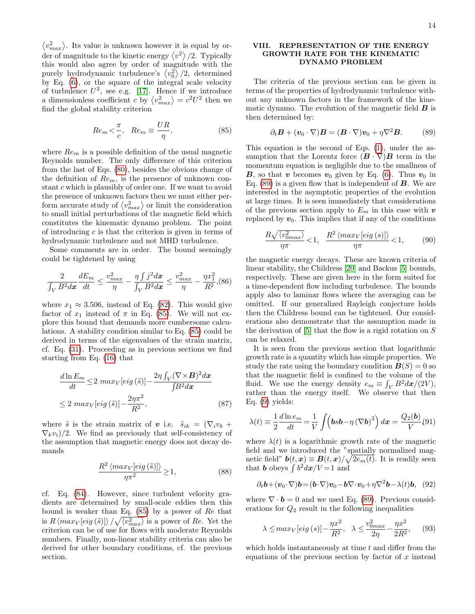$\langle v_{max}^2 \rangle$ . Its value is unknown however it is equal by order of magnitude to the kinetic energy  $\langle v^2 \rangle / 2$ . Typically this would also agree by order of magnitude with the purely hydrodynamic turbulence's  $\langle v_0^2 \rangle / 2$ , determined by Eq. [\(6\)](#page-2-4), or the square of the integral scale velocity of turbulence  $U^2$ , see e.g. [\[17\]](#page-18-8). Hence if we introduce a dimensionless coefficient c by  $\langle v_{max}^2 \rangle = c^2 U^2$  then we find the global stability criterion

<span id="page-13-0"></span>
$$
Re_m < \frac{\pi}{c}, \quad Re_m \equiv \frac{UR}{\eta}, \tag{85}
$$

where  $Re<sub>m</sub>$  is a possible definition of the usual magnetic Reynolds number. The only difference of this criterion from the last of Eqs. [\(80\)](#page-12-2), besides the obvious change of the definition of  $Re_m$ , is the presence of unknown constant c which is plausibly of order one. If we want to avoid the presence of unknown factors then we must either perform accurate study of  $\langle v_{max}^2 \rangle$  or limit the consideration to small initial perturbations of the magnetic field which constitutes the kinematic dynamo problem. The point of introducing  $c$  is that the criterion is given in terms of hydrodynamic turbulence and not MHD turbulence.

Some comments are in order. The bound seemingly could be tightened by using

$$
\frac{2}{\int_V B^2 dx} \frac{dE_m}{dt} \le \frac{v_{max}^2}{\eta} - \frac{\eta \int j^2 dx}{\int_V B^2 dx} \le \frac{v_{max}^2}{\eta} - \frac{\eta x_1^2}{R^2} (86)
$$

where  $x_1 \approx 3.506$ , instead of Eq. [\(82\)](#page-12-3). This would give factor of  $x_1$  instead of  $\pi$  in Eq. [\(85\)](#page-13-0). We will not explore this bound that demands more cumbersome calculations. A stability condition similar to Eq. [\(85\)](#page-13-0) could be derived in terms of the eigenvalues of the strain matrix, cf. Eq. [\(31\)](#page-6-0). Proceeding as in previous sections we find starting from Eq. [\(16\)](#page-3-5) that

$$
\frac{d\ln E_m}{dt} \le 2 \ max_V [eig(\tilde{s})] - \frac{2\eta \int_V (\nabla \times \mathbf{B})^2 d\mathbf{x}}{\int B^2 d\mathbf{x}} \le 2 \ max_V [eig(\tilde{s})] - \frac{2\eta \pi^2}{R^2},
$$
\n(87)

where  $\tilde{s}$  is the strain matrix of v i.e.  $\tilde{s}_{ik} = (\nabla_i v_k +$  $\nabla_k v_i/2$ . We find as previously that self-consistency of the assumption that magnetic energy does not decay demands

$$
\frac{R^2 \langle max_V[eig(\tilde{s})] \rangle}{\eta \pi^2} \ge 1,
$$
\n(88)

cf. Eq. [\(84\)](#page-12-4). However, since turbulent velocity gradients are determined by small-scale eddies then this bound is weaker than Eq.  $(85)$  by a power of Re that is  $R \langle max_V [eig (\tilde{s})] \rangle / \sqrt{\langle v_{max}^2 \rangle}$  is a power of Re. Yet the criterion can be of use for flows with moderate Reynolds numbers. Finally, non-linear stability criteria can also be derived for other boundary conditions, cf. the previous section.

# VIII. REPRESENTATION OF THE ENERGY GROWTH RATE FOR THE KINEMATIC DYNAMO PROBLEM

The criteria of the previous section can be given in terms of the properties of hydrodynamic turbulence without any unknown factors in the framework of the kinematic dynamo. The evolution of the magnetic field  $\boldsymbol{B}$  is then determined by:

<span id="page-13-1"></span>
$$
\partial_t \mathbf{B} + (\mathbf{v}_0 \cdot \nabla) \mathbf{B} = (\mathbf{B} \cdot \nabla) \mathbf{v}_0 + \eta \nabla^2 \mathbf{B}.
$$
 (89)

This equation is the second of Eqs. [\(1\)](#page-1-2), under the assumption that the Lorentz force  $(B \cdot \nabla)B$  term in the momentum equation is negligible due to the smallness of **B**, so that v becomes  $v_0$  given by Eq. [\(6\)](#page-2-4). Thus  $v_0$  in Eq.  $(89)$  is a given flow that is independent of  $\boldsymbol{B}$ . We are interested in the asymptotic properties of the evolution at large times. It is seen immediately that considerations of the previous section apply to  $E_m$  in this case with v replaced by  $v_0$ . This implies that if any of the conditions

<span id="page-13-4"></span>
$$
\frac{R\sqrt{\langle v_{0max}^2 \rangle}}{\eta \pi} < 1, \quad \frac{R^2 \langle max_V[eig(s)] \rangle}{\eta \pi} < 1,\tag{90}
$$

the magnetic energy decays. These are known criteria of linear stability, the Childress [\[20\]](#page-18-9) and Backus [\[5\]](#page-17-4) bounds, respectively. These are given here in the form suited for a time-dependent flow including turbulence. The bounds apply also to laminar flows where the averaging can be omitted. If our generalized Rayleigh conjecture holds then the Childress bound can be tightened. Our considerations also demonstrate that the assumption made in the derivation of  $[5]$  that the flow is a rigid rotation on S can be relaxed.

It is seen from the previous section that logarithmic growth rate is a quantity which has simple properties. We study the rate using the boundary condition  $\mathbf{B}(S) = 0$  so that the magnetic field is confined to the volume of the fluid. We use the energy density  $e_m \equiv \int_V B^2 dx/(2V)$ , rather than the energy itself. We observe that then Eq. [\(9\)](#page-3-0) yields:

<span id="page-13-2"></span>
$$
\lambda(t) \equiv \frac{1}{2} \frac{d \ln e_m}{dt} = \frac{1}{V} \int \left( \boldsymbol{b} s \boldsymbol{b} - \eta \left( \nabla \boldsymbol{b} \right)^2 \right) dx = \frac{Q_2(\boldsymbol{b})}{V} (91)
$$

where  $\lambda(t)$  is a logarithmic growth rate of the magnetic field and we introduced the "spatially normalized magnetic field"  $\boldsymbol{b}(t,\boldsymbol{x}) \equiv \boldsymbol{B}(t,\boldsymbol{x})/\sqrt{2e_m(t)}$ . It is readily seen that **b** obeys  $\int b^2 dx/V = 1$  and

<span id="page-13-5"></span>
$$
\partial_t \mathbf{b} + (\mathbf{v}_0 \cdot \nabla) \mathbf{b} = (\mathbf{b} \cdot \nabla) \mathbf{v}_0 - \mathbf{b} \nabla \cdot \mathbf{v}_0 + \eta \nabla^2 \mathbf{b} - \lambda(t) \mathbf{b}, \quad (92)
$$

where  $\nabla \cdot \mathbf{b} = 0$  and we used Eq. [\(89\)](#page-13-1). Previous considerations for  $Q_2$  result in the following inequalities

<span id="page-13-3"></span>
$$
\lambda \le \max_{V} [eig(s)] - \frac{\eta x^2}{R^2}, \quad \lambda \le \frac{v_{0max}^2}{2\eta} - \frac{\eta x^2}{2R^2},\tag{93}
$$

which holds instantaneously at time  $t$  and differ from the equations of the previous section by factor of  $x$  instead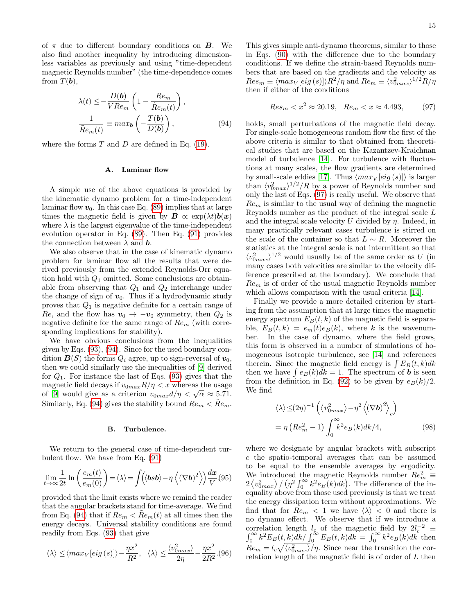of  $\pi$  due to different boundary conditions on **B**. We also find another inequality by introducing dimensionless variables as previously and using "time-dependent magnetic Reynolds number" (the time-dependence comes from  $T(\boldsymbol{b}),$ 

<span id="page-14-0"></span>
$$
\lambda(t) \le -\frac{D(\mathbf{b})}{VRe_m} \left( 1 - \frac{Re_m}{\tilde{R}e_m(t)} \right),
$$
  

$$
\frac{1}{\tilde{R}e_m(t)} \equiv max_{\mathbf{b}} \left( -\frac{T(\mathbf{b})}{D(\mathbf{b})} \right),
$$
 (94)

where the forms  $T$  and  $D$  are defined in Eq. [\(19\)](#page-4-2).

# A. Laminar flow

A simple use of the above equations is provided by the kinematic dynamo problem for a time-independent laminar flow  $v_0$ . In this case Eq. [\(89\)](#page-13-1) implies that at large times the magnetic field is given by  $\mathbf{B} \propto \exp(\lambda t) \mathbf{b}(\mathbf{x})$ where  $\lambda$  is the largest eigenvalue of the time-independent evolution operator in Eq. [\(89\)](#page-13-1). Then Eq. [\(91\)](#page-13-2) provides the connection between  $\lambda$  and **b**.

We also observe that in the case of kinematic dynamo problem for laminar flow all the results that were derived previously from the extended Reynolds-Orr equation hold with  $Q_1$  omitted. Some conclusions are obtainable from observing that  $Q_1$  and  $Q_2$  interchange under the change of sign of  $v_0$ . Thus if a hydrodynamic study proves that  $Q_1$  is negative definite for a certain range of Re, and the flow has  $v_0 \rightarrow -v_0$  symmetry, then  $Q_2$  is negative definite for the same range of  $Re<sub>m</sub>$  (with corresponding implications for stability).

We have obvious conclusions from the inequalities given by Eqs. [\(93\)](#page-13-3), [\(94\)](#page-14-0). Since for the used boundary condition  $\mathbf{B}(S)$  the forms  $Q_i$  agree, up to sign-reversal of  $\mathbf{v}_0$ , then we could similarly use the inequalities of [\[9\]](#page-17-8) derived for  $Q_1$ . For instance the last of Eqs. [\(93\)](#page-13-3) gives that the magnetic field decays if  $v_{0max}R/\eta < x$  whereas the usage magnetic field decays if  $v_{0max} n/\eta < x$  whereas the usage<br>of [\[9\]](#page-17-8) would give as a criterion  $v_{0max} d/\eta < \sqrt{\alpha} \approx 5.71$ . Similarly, Eq. [\(94\)](#page-14-0) gives the stability bound  $Re_m < Re_m$ .

### B. Turbulence.

We return to the general case of time-dependent turbulent flow. We have from Eq. [\(91\)](#page-13-2)

$$
\lim_{t\to\infty}\frac{1}{2t}\ln\bigg(\frac{e_m(t)}{e_m(0)}\bigg)=\langle\lambda\rangle=\int\!\Big(\!\big<\boldsymbol{b}\boldsymbol{s}\boldsymbol{b}\rangle-\eta\left<\big(\nabla\boldsymbol{b}\big)^2\big>\!\Big)\Big)\frac{d\boldsymbol{x}}{V}(95)
$$

provided that the limit exists where we remind the reader that the angular brackets stand for time-average. We find from Eq. [\(94\)](#page-14-0) that if  $Re_m < \tilde{R}e_m(t)$  at all times then the energy decays. Universal stability conditions are found readily from Eqs. [\(93\)](#page-13-3) that give

$$
\langle \lambda \rangle \le \langle max_V[eig(s)] \rangle - \frac{\eta x^2}{R^2}, \quad \langle \lambda \rangle \le \frac{\langle v_{0max}^2 \rangle}{2\eta} - \frac{\eta x^2}{2R^2}. (96)
$$

This gives simple anti-dynamo theorems, similar to those in Eqs. [\(90\)](#page-13-4) with the difference due to the boundary conditions. If we define the strain-based Reynolds numbers that are based on the gradients and the velocity as  $Res_m \equiv \langle max_V [eig(s)] \rangle R^2 / \eta$  and  $Re_m \equiv \langle v_{0max}^2 \rangle^{1/2} R / \eta$ then if either of the conditions

<span id="page-14-1"></span>
$$
Res_m < x^2 \approx 20.19
$$
,  $Re_m < x \approx 4.493$ , (97)

holds, small perturbations of the magnetic field decay. For single-scale homogeneous random flow the first of the above criteria is similar to that obtained from theoretical studies that are based on the Kazantzev-Kraichnan model of turbulence [\[14\]](#page-18-7). For turbulence with fluctuations at many scales, the flow gradients are determined by small-scale eddies [\[17\]](#page-18-8). Thus  $\langle max_V [eig(s)] \rangle$  is larger than  $\langle v_{0max}^2 \rangle^{1/2}/R$  by a power of Reynolds number and only the last of Eqs. [\(97\)](#page-14-1) is really useful. We observe that  $Re<sub>m</sub>$  is similar to the usual way of defining the magnetic Reynolds number as the product of the integral scale L and the integral scale velocity  $U$  divided by  $\eta$ . Indeed, in many practically relevant cases turbulence is stirred on the scale of the container so that  $L \sim R$ . Moreover the statistics at the integral scale is not intermittent so that  $\langle v_{0max}^2 \rangle^{1/2}$  would usually be of the same order as U (in many cases both velocities are similar to the velocity difference prescribed at the boundary). We conclude that  $Re<sub>m</sub>$  is of order of the usual magnetic Reynolds number which allows comparison with the usual criteria [\[14\]](#page-18-7).

Finally we provide a more detailed criterion by starting from the assumption that at large times the magnetic energy spectrum  $E_B(t, k)$  of the magnetic field is separable,  $E_B(t, k) = e_m(t)e_B(k)$ , where k is the wavenumber. In the case of dynamo, where the field grows, this form is observed in a number of simulations of homogeneous isotropic turbulence, see [\[14\]](#page-18-7) and references therein. Since the magnetic field energy is  $\int E_B(t, k)dk$ then we have  $\int e_B(k)dk = 1$ . The spectrum of **b** is seen from the definition in Eq. [\(92\)](#page-13-5) to be given by  $e_B(k)/2$ . We find

$$
\langle \lambda \rangle \leq (2\eta)^{-1} \left( \langle v_{0max}^2 \rangle - \eta^2 \langle (\nabla \mathbf{b})^2 \rangle_c \right)
$$
  
=  $\eta \left( Re_m^2 - 1 \right) \int_0^\infty k^2 e_B(k) dk/4,$  (98)

where we designate by angular brackets with subscript c the spatio-temporal averages that can be assumed to be equal to the ensemble averages by ergodicity. We introduced the magnetic Reynolds number  $Re_m^2 \equiv$  $2\langle v_{0max}^2 \rangle / (\eta^2 \int_0^\infty k^2 e_B(k)dk)$ . The difference of the inequality above from those used previously is that we treat the energy dissipation term without approximations. We find that for  $Re_m < 1$  we have  $\langle \lambda \rangle < 0$  and there is no dynamo effect. We observe that if we introduce a correlation length  $l_c$  of the magnetic field by  $2l_c^{-2} \equiv \int_0^\infty k^2 E_B(t, k)dk / \int_0^\infty E_B(t, k)dk = \int_0^\infty k^2 e_B(k)dk$  then  $Re_m = l_c \sqrt{\langle v_{0max}^2 \rangle}/\eta$ . Since near the transition the correlation length of the magnetic field is of order of  $L$  then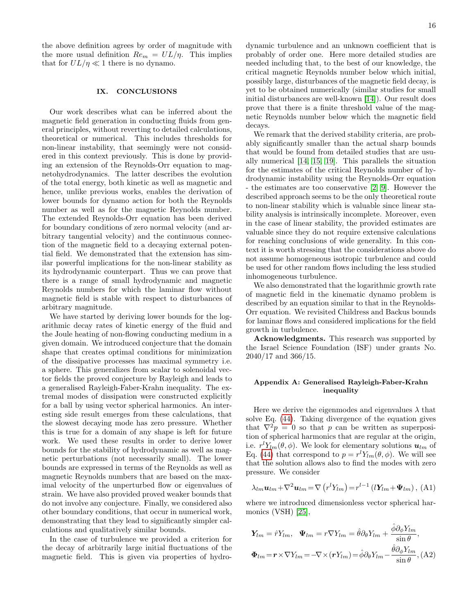the above definition agrees by order of magnitude with the more usual definition  $Re_m = UL/\eta$ . This implies that for  $UL/\eta \ll 1$  there is no dynamo.

### IX. CONCLUSIONS

Our work describes what can be inferred about the magnetic field generation in conducting fluids from general principles, without reverting to detailed calculations, theoretical or numerical. This includes thresholds for non-linear instability, that seemingly were not considered in this context previously. This is done by providing an extension of the Reynolds-Orr equation to magnetohydrodynamics. The latter describes the evolution of the total energy, both kinetic as well as magnetic and hence, unlike previous works, enables the derivation of lower bounds for dynamo action for both the Reynolds number as well as for the magnetic Reynolds number. The extended Reynolds-Orr equation has been derived for boundary conditions of zero normal velocity (and arbitrary tangential velocity) and the continuous connection of the magnetic field to a decaying external potential field. We demonstrated that the extension has similar powerful implications for the non-linear stability as its hydrodynamic counterpart. Thus we can prove that there is a range of small hydrodynamic and magnetic Reynolds numbers for which the laminar flow without magnetic field is stable with respect to disturbances of arbitrary magnitude.

We have started by deriving lower bounds for the logarithmic decay rates of kinetic energy of the fluid and the Joule heating of non-flowing conducting medium in a given domain. We introduced conjecture that the domain shape that creates optimal conditions for minimization of the dissipative processes has maximal symmetry i.e. a sphere. This generalizes from scalar to solenoidal vector fields the proved conjecture by Rayleigh and leads to a generalised Rayleigh-Faber-Krahn inequality. The extremal modes of dissipation were constructed explicitly for a ball by using vector spherical harmonics. An interesting side result emerges from these calculations, that the slowest decaying mode has zero pressure. Whether this is true for a domain of any shape is left for future work. We used these results in order to derive lower bounds for the stability of hydrodynamic as well as magnetic perturbations (not necessarily small). The lower bounds are expressed in terms of the Reynolds as well as magnetic Reynolds numbers that are based on the maximal velocity of the unperturbed flow or eigenvalues of strain. We have also provided proved weaker bounds that do not involve any conjecture. Finally, we considered also other boundary conditions, that occur in numerical work, demonstrating that they lead to significantly simpler calculations and qualitatively similar bounds.

In the case of turbulence we provided a criterion for the decay of arbitrarily large initial fluctuations of the magnetic field. This is given via properties of hydrodynamic turbulence and an unknown coefficient that is probably of order one. Here more detailed studies are needed including that, to the best of our knowledge, the critical magnetic Reynolds number below which initial, possibly large, disturbances of the magnetic field decay, is yet to be obtained numerically (similar studies for small initial disturbances are well-known [\[14\]](#page-18-7)). Our result does prove that there is a finite threshold value of the magnetic Reynolds number below which the magnetic field decays.

We remark that the derived stability criteria, are probably significantly smaller than the actual sharp bounds that would be found from detailed studies that are usually numerical [\[14,](#page-18-7) [15,](#page-18-5) [19\]](#page-18-6). This parallels the situation for the estimates of the critical Reynolds number of hydrodynamic instability using the Reynolds-Orr equation - the estimates are too conservative [\[2,](#page-17-1) [9\]](#page-17-8). However the described approach seems to be the only theoretical route to non-linear stability which is valuable since linear stability analysis is intrinsically incomplete. Moreover, even in the case of linear stability, the provided estimates are valuable since they do not require extensive calculations for reaching conclusions of wide generality. In this context it is worth stressing that the considerations above do not assume homogeneous isotropic turbulence and could be used for other random flows including the less studied inhomogeneous turbulence.

We also demonstrated that the logarithmic growth rate of magnetic field in the kinematic dynamo problem is described by an equation similar to that in the Reynolds-Orr equation. We revisited Childress and Backus bounds for laminar flows and considered implications for the field growth in turbulence.

Acknowledgments. This research was supported by the Israel Science Foundation (ISF) under grants No. 2040/17 and 366/15.

# <span id="page-15-0"></span>Appendix A: Generalised Rayleigh-Faber-Krahn inequality

Here we derive the eigenmodes and eigenvalues  $\lambda$  that solve Eq. [\(44\)](#page-7-2). Taking divergence of the equation gives that  $\nabla^2 p = 0$  so that p can be written as superposition of spherical harmonics that are regular at the origin, i.e.  $r^l Y_{lm}(\theta, \phi)$ . We look for elementary solutions  $u_{lm}$  of Eq. [\(44\)](#page-7-2) that correspond to  $p = r^l Y_{lm}(\theta, \phi)$ . We will see that the solution allows also to find the modes with zero pressure. We consider

<span id="page-15-2"></span>
$$
\lambda_{lm}\mathbf{u}_{lm}+\nabla^2\mathbf{u}_{lm}=\nabla\left(r^lY_{lm}\right)=r^{l-1}\left(lY_{lm}+\Psi_{lm}\right),\,\,\text{(A1)}
$$

where we introduced dimensionless vector spherical harmonics (VSH) [\[25\]](#page-18-10),

<span id="page-15-1"></span>
$$
\mathbf{Y}_{lm} = \hat{r}Y_{lm}, \quad \mathbf{\Psi}_{lm} = r\nabla Y_{lm} = \hat{\theta}\partial_{\theta}Y_{lm} + \frac{\hat{\phi}\partial_{\phi}Y_{lm}}{\sin\theta},
$$
\n
$$
\mathbf{\Phi}_{lm} = \mathbf{r} \times \nabla Y_{lm} = -\nabla \times (\mathbf{r}Y_{lm}) = \hat{\phi}\partial_{\theta}Y_{lm} - \frac{\hat{\theta}\partial_{\phi}Y_{lm}}{\sin\theta}, \text{(A2)}
$$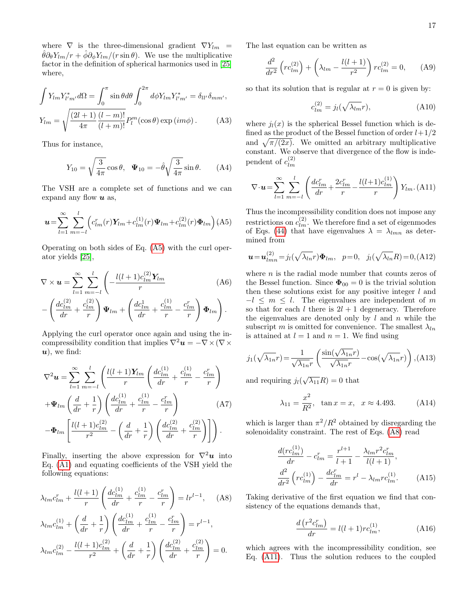where  $\nabla$  is the three-dimensional gradient  $\nabla Y_{lm}$  =  $\hat{\theta} \partial_{\theta} Y_{lm}/r + \hat{\phi} \partial_{\phi} Y_{lm}/(r \sin \theta)$ . We use the multiplicative factor in the definition of spherical harmonics used in [\[25\]](#page-18-10) where,

$$
\int Y_{lm} Y_{l'm'}^* d\Omega = \int_0^\pi \sin \theta d\theta \int_0^{2\pi} d\phi Y_{lm} Y_{l'm'}^* = \delta_{ll'} \delta_{mm'},
$$
  

$$
Y_{lm} = \sqrt{\frac{(2l+1)}{4\pi} \frac{(l-m)!}{(l+m)!}} P_l^m(\cos \theta) \exp(im\phi).
$$
 (A3)

Thus for instance,

$$
Y_{10} = \sqrt{\frac{3}{4\pi}} \cos \theta, \quad \Psi_{10} = -\hat{\theta} \sqrt{\frac{3}{4\pi}} \sin \theta. \tag{A4}
$$

The VSH are a complete set of functions and we can expand any flow  $u$  as,

<span id="page-16-4"></span>
$$
\mathbf{u} = \sum_{l=1}^{\infty} \sum_{m=-l}^{l} \left( c_{lm}^{r}(r) \mathbf{Y}_{lm} + c_{lm}^{(1)}(r) \mathbf{\Psi}_{lm} + c_{lm}^{(2)}(r) \mathbf{\Phi}_{lm} \right) (A5)
$$

Operating on both sides of Eq. [\(A5\)](#page-16-4) with the curl operator yields [\[25\]](#page-18-10),

$$
\nabla \times \mathbf{u} = \sum_{l=1}^{\infty} \sum_{m=-l}^{l} \left( -\frac{l(l+1)c_{lm}^{(2)} Y_{lm}}{r} \right)
$$
(A6)  
-  $\left( \frac{dc_{lm}^{(2)}}{dr} + \frac{c_{lm}^{(2)}}{r} \right) \Psi_{lm} + \left( \frac{dc_{lm}^{1}}{dr} + \frac{c_{lm}^{(1)}}{r} - \frac{c_{lm}^{r}}{r} \right) \Phi_{lm}.$ 

Applying the curl operator once again and using the incompressibility condition that implies  $\nabla^2 u = -\nabla \times (\nabla \times$  $u$ , we find:

$$
\nabla^2 \mathbf{u} = \sum_{l=1}^{\infty} \sum_{m=-l}^{l} \left( \frac{l(l+1)\mathbf{Y}_{lm}}{r} \left( \frac{dc_{lm}^{(1)}}{dr} + \frac{c_{lm}^{(1)}}{r} - \frac{c_{lm}^r}{r} \right) \right)
$$

$$
+ \Psi_{lm} \left( \frac{d}{dr} + \frac{1}{r} \right) \left( \frac{dc_{lm}^{(1)}}{dr} + \frac{c_{lm}^{(1)}}{r} - \frac{c_{lm}^r}{r} \right) \qquad (A7)
$$

$$
- \Phi_{lm} \left[ \frac{l(l+1)c_{lm}^{(2)}}{r^2} - \left( \frac{d}{dr} + \frac{1}{r} \right) \left( \frac{dc_{lm}^{(2)}}{dr} + \frac{c_{lm}^{(2)}}{r} \right) \right] \right).
$$

Finally, inserting the above expression for  $\nabla^2 u$  into Eq. [\(A1\)](#page-15-2) and equating coefficients of the VSH yield the following equations:

<span id="page-16-2"></span>
$$
\lambda_{lm}c_{lm}^r + \frac{l(l+1)}{r} \left( \frac{dc_{lm}^{(1)}}{dr} + \frac{c_{lm}^{(1)}}{r} - \frac{c_{lm}^r}{r} \right) = lr^{l-1}, \quad \text{(A8)}
$$

$$
\lambda_{lm}c_{lm}^{(1)} + \left( \frac{d}{dr} + \frac{1}{r} \right) \left( \frac{dc_{lm}^{(1)}}{dr} + \frac{c_{lm}^{(1)}}{r} - \frac{c_{lm}^r}{r} \right) = r^{l-1},
$$

$$
\lambda_{lm}c_{lm}^{(2)} - \frac{l(l+1)c_{lm}^{(2)}}{r^2} + \left( \frac{d}{dr} + \frac{1}{r} \right) \left( \frac{dc_{lm}^{(2)}}{dr} + \frac{c_{lm}^{(2)}}{r} \right) = 0.
$$

The last equation can be written as

$$
\frac{d^2}{dr^2} \left( r c_{lm}^{(2)} \right) + \left( \lambda_{lm} - \frac{l(l+1)}{r^2} \right) r c_{lm}^{(2)} = 0, \quad (A9)
$$

so that its solution that is regular at  $r = 0$  is given by:

$$
c_{lm}^{(2)} = j_l(\sqrt{\lambda_{lm}}r), \tag{A10}
$$

where  $j_l(x)$  is the spherical Bessel function which is defined as the product of the Bessel function of order  $l+1/2$ and  $\sqrt{\pi/(2x)}$ . We omitted an arbitrary multiplicative constant. We observe that divergence of the flow is independent of  $c_{lm}^{(2)}$ lm

<span id="page-16-5"></span>
$$
\nabla \cdot \boldsymbol{u} = \sum_{l=1}^{\infty} \sum_{m=-l}^{l} \left( \frac{dc_{lm}^r}{dr} + \frac{2c_{lm}^r}{r} - \frac{l(l+1)c_{lm}^{(1)}}{r} \right) Y_{lm}.\text{ (A11)}
$$

Thus the incompressibility condition does not impose any restrictions on  $c_{lm}^{(2)}$ . We therefore find a set of eigenmodes of Eqs. [\(44\)](#page-7-2) that have eigenvalues  $\lambda = \lambda_{lmn}$  as determined from

<span id="page-16-0"></span>
$$
\boldsymbol{u} = \boldsymbol{u}_{lmn}^{(2)} = j_l(\sqrt{\lambda_{ln}}r)\boldsymbol{\Phi}_{lm}, \quad p = 0, \quad j_l(\sqrt{\lambda_{ln}}R) = 0, \text{(A12)}
$$

where  $n$  is the radial mode number that counts zeros of the Bessel function. Since  $\Phi_{00} = 0$  is the trivial solution then these solutions exist for any positive integer  $l$  and  $-l \leq m \leq l$ . The eigenvalues are independent of m so that for each l there is  $2l + 1$  degeneracy. Therefore the eigenvalues are denoted only by  $l$  and  $n$  while the subscript m is omitted for convenience. The smallest  $\lambda_{ln}$ is attained at  $l = 1$  and  $n = 1$ . We find using

<span id="page-16-3"></span>
$$
j_1(\sqrt{\lambda_{1n}}r) = \frac{1}{\sqrt{\lambda_{1n}}r} \left( \frac{\sin(\sqrt{\lambda_{1n}}r)}{\sqrt{\lambda_{1n}}r} - \cos(\sqrt{\lambda_{1n}}r) \right), \text{(A13)}
$$

and requiring  $j_l(\sqrt{\lambda_{11}}R) = 0$  that

<span id="page-16-1"></span>
$$
\lambda_{11} = \frac{x^2}{R^2}
$$
,  $\tan x = x$ ,  $x \approx 4.493$ . (A14)

which is larger than  $\pi^2/R^2$  obtained by disregarding the solenoidality constraint. The rest of Eqs. [\(A8\)](#page-16-2) read

$$
\frac{d(r c_{lm}^{(1)})}{dr} - c_{lm}^r = \frac{r^{l+1}}{l+1} - \frac{\lambda_{lm} r^2 c_{lm}^r}{l(l+1)},
$$
  

$$
\frac{d^2}{dr^2} \left( r c_{lm}^{(1)} \right) - \frac{d c_{lm}^r}{dr} = r^l - \lambda_{lm} r c_{lm}^{(1)}.
$$
 (A15)

Taking derivative of the first equation we find that consistency of the equations demands that,

<span id="page-16-6"></span>
$$
\frac{d\left(r^2c_{lm}^r\right)}{dr} = l(l+1)rc_{lm}^{(1)},\tag{A16}
$$

which agrees with the incompressibility condition, see Eq. [\(A11\)](#page-16-5). Thus the solution reduces to the coupled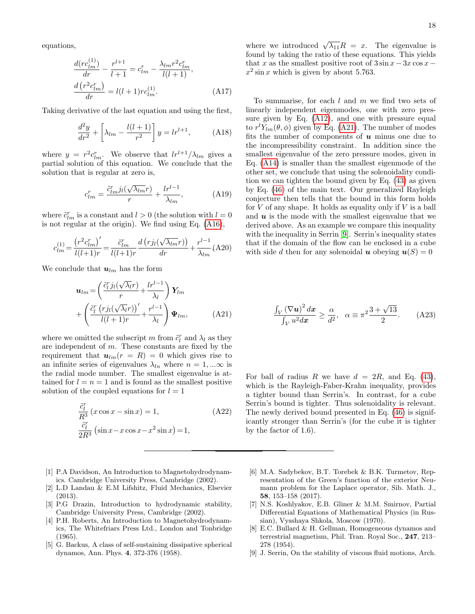equations,

$$
\frac{d(r c_{lm}^{(1)})}{dr} - \frac{r^{l+1}}{l+1} = c_{lm}^r - \frac{\lambda_{lm} r^2 c_{lm}^r}{l(l+1)},
$$
  

$$
\frac{d(r^2 c_{lm}^r)}{dr} = l(l+1) r c_{lm}^{(1)}.
$$
 (A17)

Taking derivative of the last equation and using the first,

$$
\frac{d^2y}{dr^2} + \left[\lambda_{lm} - \frac{l(l+1)}{r^2}\right]y = lr^{l+1},\tag{A18}
$$

where  $y = r^2 c_{lm}^r$ . We observe that  $l r^{l+1}/\lambda_{lm}$  gives a partial solution of this equation. We conclude that the solution that is regular at zero is,

$$
c_{lm}^r = \frac{\tilde{c}_{lm}^r j_l(\sqrt{\lambda_{lm}}r)}{r} + \frac{lr^{l-1}}{\lambda_{lm}},\tag{A19}
$$

where  $\tilde{c}_{lm}^r$  is a constant and  $l > 0$  (the solution with  $l = 0$ is not regular at the origin). We find using Eq. [\(A16\)](#page-16-6),

$$
c_{lm}^{(1)} = \frac{\left(r^2 c_{lm}^r\right)'}{l(l+1)r} = \frac{\tilde{c}_{lm}^r}{l(l+1)r} \frac{d\left(rj_l(\sqrt{\lambda_{lm}}r)\right)}{dr} + \frac{r^{l-1}}{\lambda_{lm}}\text{(A20)}
$$

We conclude that  $u_{lm}$  has the form

<span id="page-17-9"></span>
$$
\mathbf{u}_{lm} = \left(\frac{\tilde{c}_l^r j_l(\sqrt{\lambda_l}r)}{r} + \frac{lr^{l-1}}{\lambda_l}\right) \mathbf{Y}_{lm}
$$

$$
+ \left(\frac{\tilde{c}_l^r (r j_l(\sqrt{\lambda_l}r))'}{l(l+1)r} + \frac{r^{l-1}}{\lambda_l}\right) \mathbf{\Psi}_{lm},
$$
(A21)

where we omitted the subscript m from  $\tilde{c}_l^r$  and  $\lambda_l$  as they are independent of  $m$ . These constants are fixed by the requirement that  $u_{lm}(r = R) = 0$  which gives rise to an infinite series of eigenvalues  $\lambda_{ln}$  where  $n = 1, ...\infty$  is the radial mode number. The smallest eigenvalue is attained for  $l = n = 1$  and is found as the smallest positive solution of the coupled equations for  $l = 1$ 

$$
\frac{\tilde{c}_l^r}{R^3} (x \cos x - \sin x) = 1,
$$
\n(A22)  
\n
$$
\frac{\tilde{c}_l^r}{2R^3} (\sin x - x \cos x - x^2 \sin x) = 1,
$$

- <span id="page-17-0"></span>[1] P.A Davidson, An Introduction to Magnetohydrodynamics. Cambridge University Press, Cambridge (2002).
- <span id="page-17-1"></span>[2] L.D Landau & E.M Lifshitz, Fluid Mechanics, Elsevier (2013).
- <span id="page-17-2"></span>[3] P.G Drazin, Introduction to hydrodynamic stability, Cambridge University Press, Cambridge (2002).
- <span id="page-17-3"></span>[4] P.H. Roberts, An Introduction to Magnetohydrodynamics, The Whitefriars Press Ltd., London and Tonbridge (1965).
- <span id="page-17-4"></span>[5] G. Backus, A class of self-sustaining dissipative spherical dynamos, Ann. Phys. 4, 372-376 (1958).

where we introduced  $\sqrt{\lambda_{11}}R = x$ . The eigenvalue is found by taking the ratio of these equations. This yields that x as the smallest positive root of  $3 \sin x - 3x \cos x$  $x^2 \sin x$  which is given by about 5.763.

To summarise, for each  $l$  and  $m$  we find two sets of linearly independent eigenmodes, one with zero pressure given by Eq. [\(A12\)](#page-16-0), and one with pressure equal to  $r^l Y_{lm}(\theta, \phi)$  given by Eq. [\(A21\)](#page-17-9). The number of modes fits the number of components of  $u$  minus one due to the incompressibility constraint. In addition since the smallest eigenvalue of the zero pressure modes, given in Eq. [\(A14\)](#page-16-1) is smaller than the smallest eigenmode of the other set, we conclude that using the solenoidality condition we can tighten the bound given by Eq. [\(43\)](#page-7-4) as given by Eq. [\(46\)](#page-7-5) of the main text. Our generalized Rayleigh conjecture then tells that the bound in this form holds for  $V$  of any shape. It holds as equality only if  $V$  is a ball and  $u$  is the mode with the smallest eigenvalue that we derived above. As an example we compare this inequality with the inequality in Serrin [\[9\]](#page-17-8). Serrin's inequality states that if the domain of the flow can be enclosed in a cube with side d then for any solenoidal u obeying  $u(S) = 0$ 

<span id="page-17-10"></span>
$$
\frac{\int_V (\nabla \mathbf{u})^2 d\mathbf{x}}{\int_V u^2 d\mathbf{x}} \ge \frac{\alpha}{d^2}, \quad \alpha \equiv \pi^2 \frac{3 + \sqrt{13}}{2}.
$$
 (A23)

For ball of radius R we have  $d = 2R$ , and Eq. [\(43\)](#page-7-4), which is the Rayleigh-Faber-Krahn inequality, provides a tighter bound than Serrin's. In contrast, for a cube Serrin's bound is tighter. Thus solenoidality is relevant. The newly derived bound presented in Eq. [\(46\)](#page-7-5) is significantly stronger than Serrin's (for the cube it is tighter by the factor of 1.6).

- <span id="page-17-5"></span>[6] M.A. Sadybekov, B.T. Torebek & B.K. Turmetov, Representation of the Green's function of the exterior Neumann problem for the Laplace operator, Sib. Math. J., 58, 153–158 (2017).
- <span id="page-17-6"></span>[7] N.S. Koshlyakov, E.B. Gliner & M.M. Smirnov, Partial Differential Equations of Mathematical Physics (in Russian), Vysshaya Shkola, Moscow (1970).
- <span id="page-17-7"></span>[8] E.C. Bullard & H. Gellman, Homogeneous dynamos and terrestrial magnetism, Phil. Tran. Royal Soc., 247, 213– 278 (1954).
- <span id="page-17-8"></span>[9] J. Serrin, On the stability of viscous fluid motions, Arch.